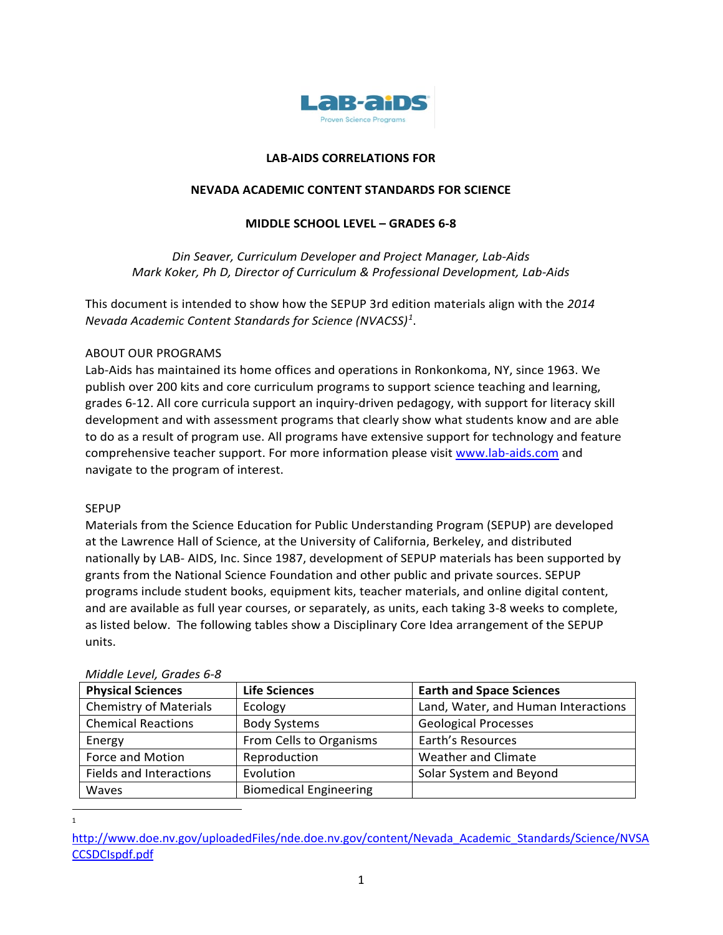

## **LAB-AIDS CORRELATIONS FOR**

### **NEVADA ACADEMIC CONTENT STANDARDS FOR SCIENCE**

### **MIDDLE SCHOOL LEVEL – GRADES 6-8**

*Din Seaver, Curriculum Developer and Project Manager, Lab-Aids Mark Koker, Ph D, Director of Curriculum & Professional Development, Lab-Aids*

This document is intended to show how the SEPUP 3rd edition materials align with the *2014 Nevada Academic Content Standards for Science (NVACSS) [1](#page-0-0)* .

### ABOUT OUR PROGRAMS

Lab-Aids has maintained its home offices and operations in Ronkonkoma, NY, since 1963. We publish over 200 kits and core curriculum programs to support science teaching and learning, grades 6-12. All core curricula support an inquiry-driven pedagogy, with support for literacy skill development and with assessment programs that clearly show what students know and are able to do as a result of program use. All programs have extensive support for technology and feature comprehensive teacher support. For more information please visit [www.lab-aids.com](http://www.lab-aids.com/) and navigate to the program of interest.

### SEPUP

Materials from the Science Education for Public Understanding Program (SEPUP) are developed at the Lawrence Hall of Science, at the University of California, Berkeley, and distributed nationally by LAB- AIDS, Inc. Since 1987, development of SEPUP materials has been supported by grants from the National Science Foundation and other public and private sources. SEPUP programs include student books, equipment kits, teacher materials, and online digital content, and are available as full year courses, or separately, as units, each taking 3-8 weeks to complete, as listed below. The following tables show a Disciplinary Core Idea arrangement of the SEPUP units.

| <i>IVIIQUIE LEVEI, OTUDES 0-0</i> |                               |                                     |
|-----------------------------------|-------------------------------|-------------------------------------|
| <b>Physical Sciences</b>          | <b>Life Sciences</b>          | <b>Earth and Space Sciences</b>     |
| <b>Chemistry of Materials</b>     | Ecology                       | Land, Water, and Human Interactions |
| <b>Chemical Reactions</b>         | <b>Body Systems</b>           | <b>Geological Processes</b>         |
| Energy                            | From Cells to Organisms       | Earth's Resources                   |
| Force and Motion                  | Reproduction                  | <b>Weather and Climate</b>          |
| <b>Fields and Interactions</b>    | Evolution                     | Solar System and Beyond             |
| Waves                             | <b>Biomedical Engineering</b> |                                     |

### *Middle Level, Grades 6-8*

<sup>1</sup>

<span id="page-0-0"></span>[http://www.doe.nv.gov/uploadedFiles/nde.doe.nv.gov/content/Nevada\\_Academic\\_Standards/Science/NVSA](http://www.doe.nv.gov/uploadedFiles/nde.doe.nv.gov/content/Nevada_Academic_Standards/Science/NVSACCSDCIspdf.pdf) [CCSDCIspdf.pdf](http://www.doe.nv.gov/uploadedFiles/nde.doe.nv.gov/content/Nevada_Academic_Standards/Science/NVSACCSDCIspdf.pdf)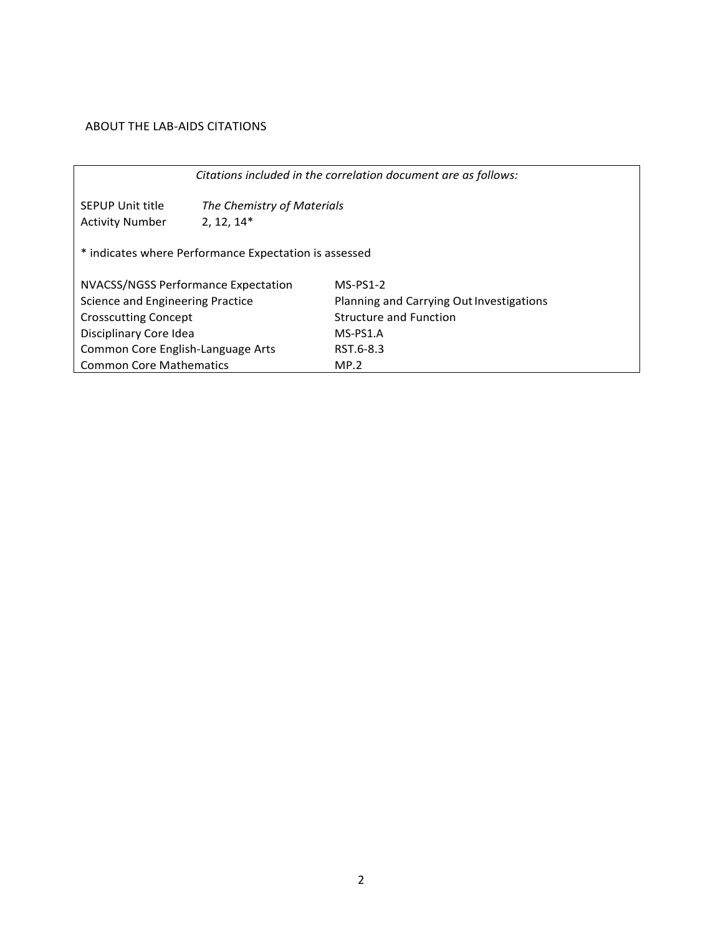## ABOUT THE LAB-AIDS CITATIONS

|                                     | Citations included in the correlation document are as follows: |                                          |  |  |  |  |
|-------------------------------------|----------------------------------------------------------------|------------------------------------------|--|--|--|--|
| <b>SEPUP Unit title</b>             | The Chemistry of Materials                                     |                                          |  |  |  |  |
| <b>Activity Number</b>              | $2, 12, 14*$                                                   |                                          |  |  |  |  |
|                                     | * indicates where Performance Expectation is assessed          |                                          |  |  |  |  |
| NVACSS/NGSS Performance Expectation |                                                                | $MS-PS1-2$                               |  |  |  |  |
| Science and Engineering Practice    |                                                                | Planning and Carrying Out Investigations |  |  |  |  |
| <b>Crosscutting Concept</b>         |                                                                | <b>Structure and Function</b>            |  |  |  |  |
| Disciplinary Core Idea              |                                                                | $MS-PS1.A$                               |  |  |  |  |
| Common Core English-Language Arts   |                                                                | RST 6-8.3                                |  |  |  |  |
| <b>Common Core Mathematics</b>      |                                                                | MP.2                                     |  |  |  |  |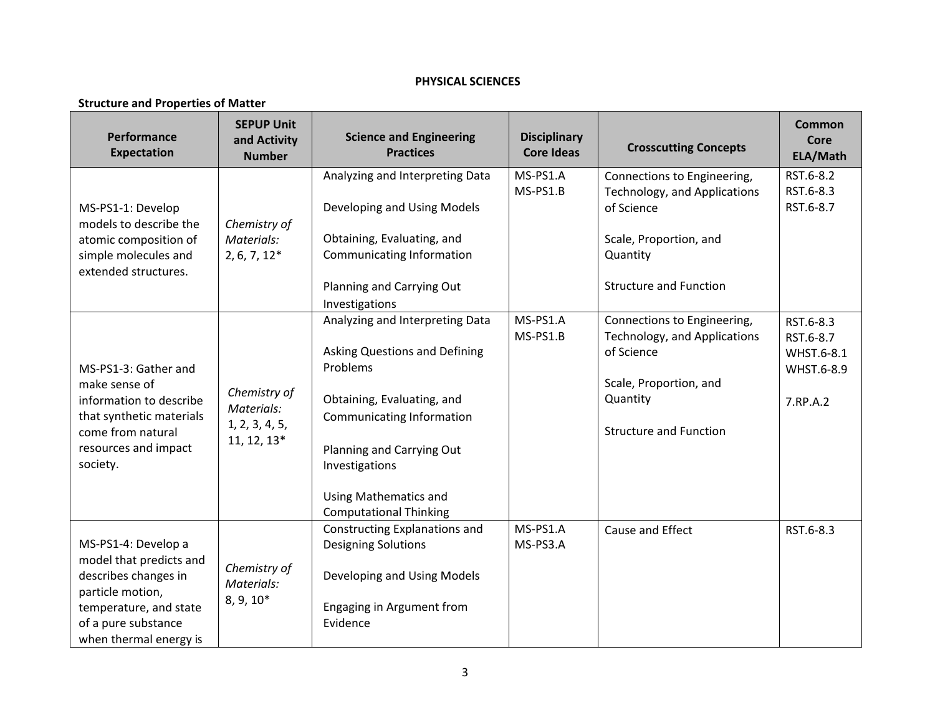## **PHYSICAL SCIENCES**

#### **Structure and Properties of Matter**

| Performance<br><b>Expectation</b>                                                                                                                                     | <b>SEPUP Unit</b><br>and Activity<br><b>Number</b>          | <b>Science and Engineering</b><br><b>Practices</b>                                                                                                                                                                                                                               | <b>Disciplinary</b><br><b>Core Ideas</b> | <b>Crosscutting Concepts</b>                                                                                                                     | <b>Common</b><br><b>Core</b><br>ELA/Math                       |
|-----------------------------------------------------------------------------------------------------------------------------------------------------------------------|-------------------------------------------------------------|----------------------------------------------------------------------------------------------------------------------------------------------------------------------------------------------------------------------------------------------------------------------------------|------------------------------------------|--------------------------------------------------------------------------------------------------------------------------------------------------|----------------------------------------------------------------|
| MS-PS1-1: Develop<br>models to describe the<br>atomic composition of<br>simple molecules and<br>extended structures.                                                  | Chemistry of<br>Materials:<br>$2, 6, 7, 12*$                | Analyzing and Interpreting Data<br>Developing and Using Models<br>Obtaining, Evaluating, and<br><b>Communicating Information</b><br>Planning and Carrying Out                                                                                                                    | MS-PS1.A<br>MS-PS1.B                     | Connections to Engineering,<br>Technology, and Applications<br>of Science<br>Scale, Proportion, and<br>Quantity<br><b>Structure and Function</b> | RST.6-8.2<br>RST.6-8.3<br>RST.6-8.7                            |
| MS-PS1-3: Gather and<br>make sense of<br>information to describe<br>that synthetic materials<br>come from natural<br>resources and impact<br>society.                 | Chemistry of<br>Materials:<br>1, 2, 3, 4, 5,<br>11, 12, 13* | Investigations<br>Analyzing and Interpreting Data<br><b>Asking Questions and Defining</b><br>Problems<br>Obtaining, Evaluating, and<br>Communicating Information<br>Planning and Carrying Out<br>Investigations<br><b>Using Mathematics and</b><br><b>Computational Thinking</b> | MS-PS1.A<br>MS-PS1.B                     | Connections to Engineering,<br>Technology, and Applications<br>of Science<br>Scale, Proportion, and<br>Quantity<br><b>Structure and Function</b> | RST.6-8.3<br>RST.6-8.7<br>WHST.6-8.1<br>WHST.6-8.9<br>7.RP.A.2 |
| MS-PS1-4: Develop a<br>model that predicts and<br>describes changes in<br>particle motion,<br>temperature, and state<br>of a pure substance<br>when thermal energy is | Chemistry of<br>Materials:<br>$8, 9, 10*$                   | <b>Constructing Explanations and</b><br><b>Designing Solutions</b><br>Developing and Using Models<br>Engaging in Argument from<br>Evidence                                                                                                                                       | MS-PS1.A<br>MS-PS3.A                     | Cause and Effect                                                                                                                                 | RST.6-8.3                                                      |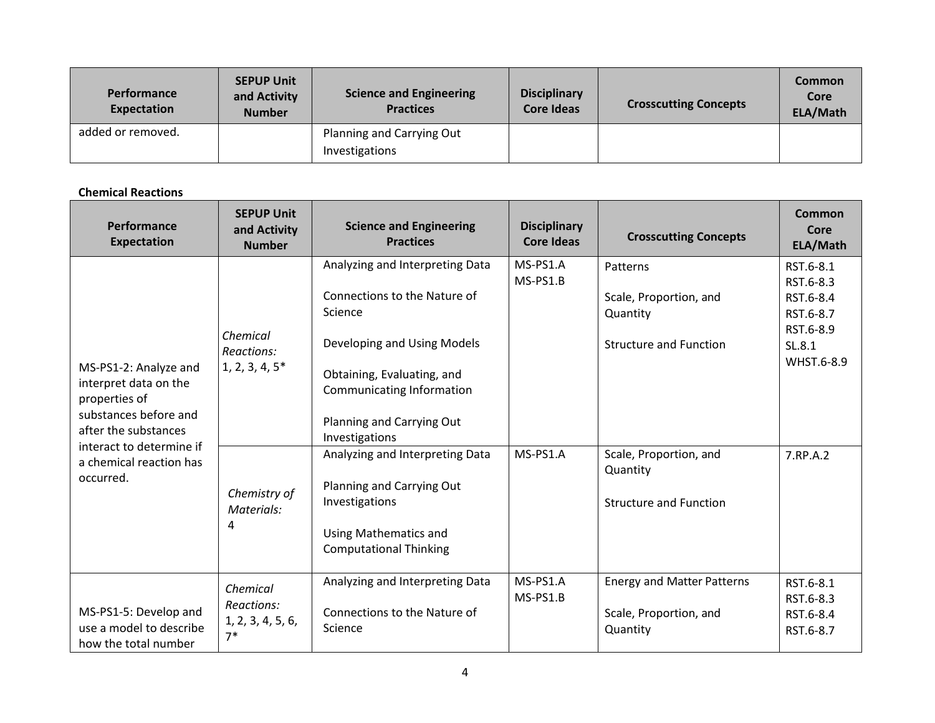| <b>Performance</b><br><b>Expectation</b> | <b>SEPUP Unit</b><br>and Activity<br><b>Number</b> | <b>Science and Engineering</b><br><b>Practices</b> | <b>Disciplinary</b><br><b>Core Ideas</b> | <b>Crosscutting Concepts</b> | Common<br>Core<br>ELA/Math |
|------------------------------------------|----------------------------------------------------|----------------------------------------------------|------------------------------------------|------------------------------|----------------------------|
| added or removed.                        |                                                    | Planning and Carrying Out<br>Investigations        |                                          |                              |                            |

### **Chemical Reactions**

| Performance<br><b>Expectation</b>                                                                                                                                                    | <b>SEPUP Unit</b><br>and Activity<br><b>Number</b>                             | <b>Science and Engineering</b><br><b>Practices</b>                                                                                                                                                                                                                                                                                                                            | <b>Disciplinary</b><br><b>Core Ideas</b> | <b>Crosscutting Concepts</b>                                                                                                                           | Common<br>Core<br>ELA/Math                                                                        |
|--------------------------------------------------------------------------------------------------------------------------------------------------------------------------------------|--------------------------------------------------------------------------------|-------------------------------------------------------------------------------------------------------------------------------------------------------------------------------------------------------------------------------------------------------------------------------------------------------------------------------------------------------------------------------|------------------------------------------|--------------------------------------------------------------------------------------------------------------------------------------------------------|---------------------------------------------------------------------------------------------------|
| MS-PS1-2: Analyze and<br>interpret data on the<br>properties of<br>substances before and<br>after the substances<br>interact to determine if<br>a chemical reaction has<br>occurred. | Chemical<br>Reactions:<br>$1, 2, 3, 4, 5^*$<br>Chemistry of<br>Materials:<br>4 | Analyzing and Interpreting Data<br>Connections to the Nature of<br>Science<br>Developing and Using Models<br>Obtaining, Evaluating, and<br><b>Communicating Information</b><br>Planning and Carrying Out<br>Investigations<br>Analyzing and Interpreting Data<br>Planning and Carrying Out<br>Investigations<br><b>Using Mathematics and</b><br><b>Computational Thinking</b> | MS-PS1.A<br>MS-PS1.B<br>MS-PS1.A         | Patterns<br>Scale, Proportion, and<br>Quantity<br><b>Structure and Function</b><br>Scale, Proportion, and<br>Quantity<br><b>Structure and Function</b> | RST.6-8.1<br>RST.6-8.3<br>RST.6-8.4<br>RST.6-8.7<br>RST.6-8.9<br>SL.8.1<br>WHST.6-8.9<br>7.RP.A.2 |
| MS-PS1-5: Develop and<br>use a model to describe<br>how the total number                                                                                                             | Chemical<br>Reactions:<br>1, 2, 3, 4, 5, 6,<br>$7*$                            | Analyzing and Interpreting Data<br>Connections to the Nature of<br>Science                                                                                                                                                                                                                                                                                                    | MS-PS1.A<br>MS-PS1.B                     | <b>Energy and Matter Patterns</b><br>Scale, Proportion, and<br>Quantity                                                                                | RST.6-8.1<br>RST.6-8.3<br>RST.6-8.4<br>RST.6-8.7                                                  |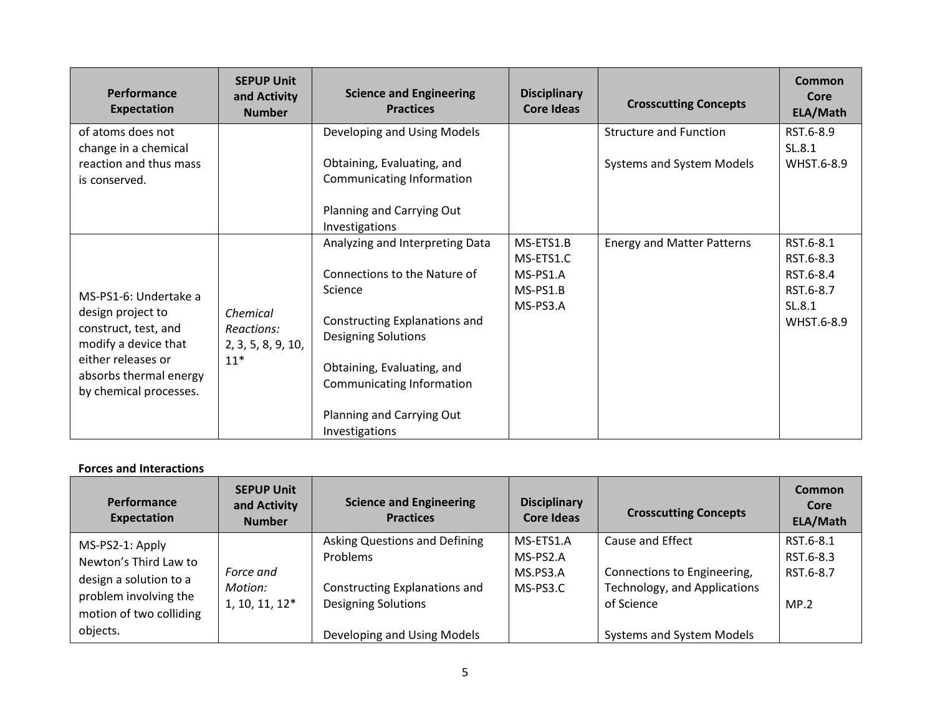| Performance<br><b>Expectation</b>                                      | <b>SEPUP Unit</b><br>and Activity<br><b>Number</b> | <b>Science and Engineering</b><br><b>Practices</b>          | <b>Disciplinary</b><br>Core Ideas | <b>Crosscutting Concepts</b>      | Common<br>Core<br>ELA/Math |
|------------------------------------------------------------------------|----------------------------------------------------|-------------------------------------------------------------|-----------------------------------|-----------------------------------|----------------------------|
| of atoms does not                                                      |                                                    | Developing and Using Models                                 |                                   | <b>Structure and Function</b>     | RST.6-8.9                  |
| change in a chemical<br>reaction and thus mass<br>is conserved.        |                                                    | Obtaining, Evaluating, and<br>Communicating Information     |                                   | Systems and System Models         | SL.8.1<br>WHST.6-8.9       |
|                                                                        |                                                    | Planning and Carrying Out<br>Investigations                 |                                   |                                   |                            |
|                                                                        |                                                    | Analyzing and Interpreting Data                             | MS-ETS1.B<br>MS-ETS1.C            | <b>Energy and Matter Patterns</b> | RST.6-8.1<br>RST.6-8.3     |
|                                                                        |                                                    | Connections to the Nature of                                | MS-PS1.A                          |                                   | RST.6-8.4                  |
| MS-PS1-6: Undertake a                                                  |                                                    | Science                                                     | MS-PS1.B                          |                                   | RST.6-8.7                  |
| design project to<br>construct, test, and<br>modify a device that      | Chemical<br>Reactions:<br>2, 3, 5, 8, 9, 10,       | Constructing Explanations and<br><b>Designing Solutions</b> | MS-PS3.A                          |                                   | SL.8.1<br>WHST.6-8.9       |
| either releases or<br>absorbs thermal energy<br>by chemical processes. | $11*$                                              | Obtaining, Evaluating, and<br>Communicating Information     |                                   |                                   |                            |
|                                                                        |                                                    | Planning and Carrying Out<br>Investigations                 |                                   |                                   |                            |

## **Forces and Interactions**

| Performance<br>Expectation                                                                                                         | <b>SEPUP Unit</b><br>and Activity<br><b>Number</b> | <b>Science and Engineering</b><br><b>Practices</b>                                                                                      | <b>Disciplinary</b><br>Core Ideas             | <b>Crosscutting Concepts</b>                                                                                               | <b>Common</b><br>Core<br>ELA/Math           |
|------------------------------------------------------------------------------------------------------------------------------------|----------------------------------------------------|-----------------------------------------------------------------------------------------------------------------------------------------|-----------------------------------------------|----------------------------------------------------------------------------------------------------------------------------|---------------------------------------------|
| MS-PS2-1: Apply<br>Newton's Third Law to<br>design a solution to a<br>problem involving the<br>motion of two colliding<br>objects. | Force and<br>Motion:<br>$1, 10, 11, 12*$           | Asking Questions and Defining<br>Problems<br>Constructing Explanations and<br><b>Designing Solutions</b><br>Developing and Using Models | MS-ETS1.A<br>MS-PS2.A<br>MS.PS3.A<br>MS-PS3.C | Cause and Effect<br>Connections to Engineering,<br>Technology, and Applications<br>of Science<br>Systems and System Models | RST.6-8.1<br>RST.6-8.3<br>RST.6-8.7<br>MP.2 |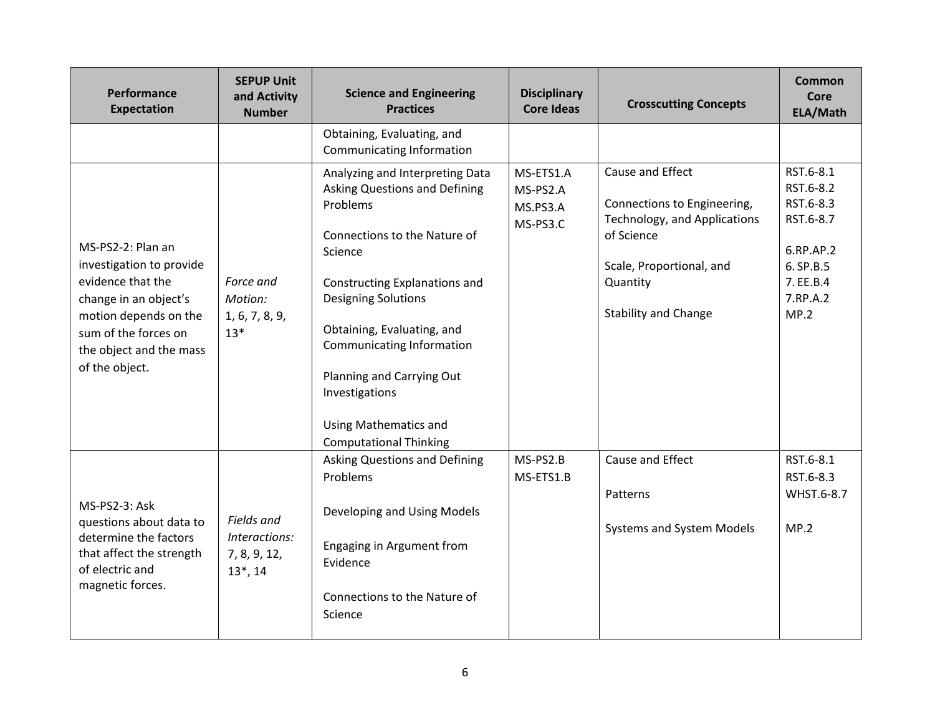| Performance<br><b>Expectation</b>                                                                                                                                                         | <b>SEPUP Unit</b><br>and Activity<br><b>Number</b>         | <b>Science and Engineering</b><br><b>Practices</b>                                                                                                                                                                                                                                                                                                                | <b>Disciplinary</b><br><b>Core Ideas</b>      | <b>Crosscutting Concepts</b>                                                                                                                                         | Common<br>Core<br>ELA/Math                                                                                  |
|-------------------------------------------------------------------------------------------------------------------------------------------------------------------------------------------|------------------------------------------------------------|-------------------------------------------------------------------------------------------------------------------------------------------------------------------------------------------------------------------------------------------------------------------------------------------------------------------------------------------------------------------|-----------------------------------------------|----------------------------------------------------------------------------------------------------------------------------------------------------------------------|-------------------------------------------------------------------------------------------------------------|
|                                                                                                                                                                                           |                                                            | Obtaining, Evaluating, and<br>Communicating Information                                                                                                                                                                                                                                                                                                           |                                               |                                                                                                                                                                      |                                                                                                             |
| MS-PS2-2: Plan an<br>investigation to provide<br>evidence that the<br>change in an object's<br>motion depends on the<br>sum of the forces on<br>the object and the mass<br>of the object. | Force and<br>Motion:<br>1, 6, 7, 8, 9,<br>$13*$            | Analyzing and Interpreting Data<br>Asking Questions and Defining<br>Problems<br>Connections to the Nature of<br>Science<br>Constructing Explanations and<br><b>Designing Solutions</b><br>Obtaining, Evaluating, and<br>Communicating Information<br>Planning and Carrying Out<br>Investigations<br><b>Using Mathematics and</b><br><b>Computational Thinking</b> | MS-ETS1.A<br>MS-PS2.A<br>MS.PS3.A<br>MS-PS3.C | Cause and Effect<br>Connections to Engineering,<br>Technology, and Applications<br>of Science<br>Scale, Proportional, and<br>Quantity<br><b>Stability and Change</b> | RST.6-8.1<br>RST.6-8.2<br>RST.6-8.3<br>RST.6-8.7<br>6.RP.AP.2<br>6. SP.B.5<br>7. EE.B.4<br>7.RP.A.2<br>MP.2 |
| MS-PS2-3: Ask<br>questions about data to<br>determine the factors<br>that affect the strength<br>of electric and<br>magnetic forces.                                                      | Fields and<br>Interactions:<br>7, 8, 9, 12,<br>$13^*$ , 14 | <b>Asking Questions and Defining</b><br>Problems<br>Developing and Using Models<br>Engaging in Argument from<br>Evidence<br>Connections to the Nature of<br>Science                                                                                                                                                                                               | MS-PS2.B<br>MS-ETS1.B                         | Cause and Effect<br>Patterns<br>Systems and System Models                                                                                                            | RST.6-8.1<br>RST.6-8.3<br>WHST.6-8.7<br>MP.2                                                                |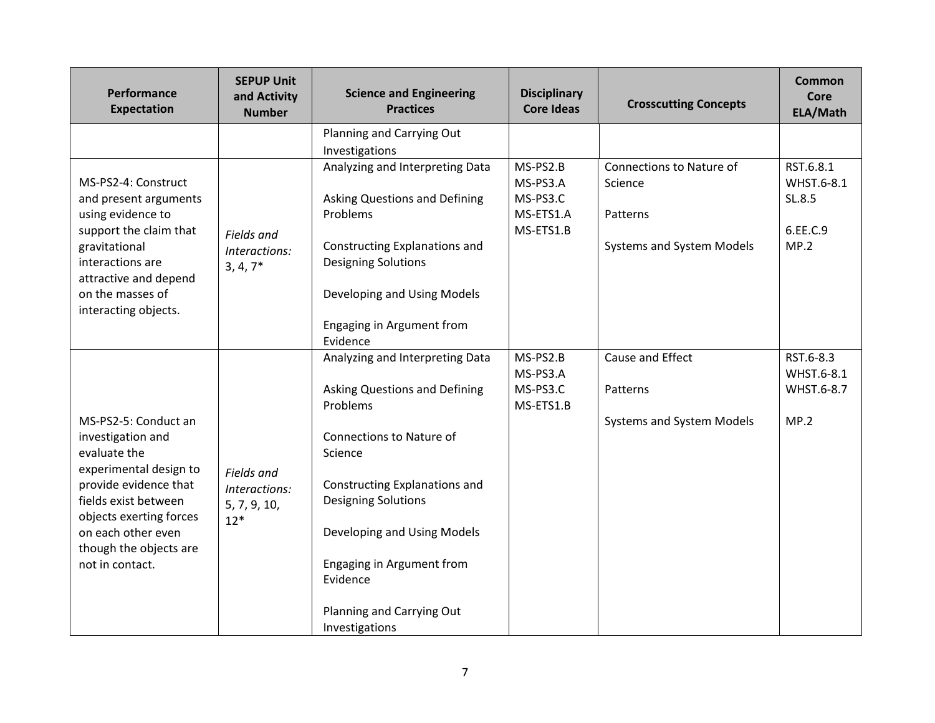| Performance<br><b>Expectation</b>                                                                                                                                                                                                  | <b>SEPUP Unit</b><br>and Activity<br><b>Number</b>   | <b>Science and Engineering</b><br><b>Practices</b>                                                                                                                                                                                                                                                        | <b>Disciplinary</b><br><b>Core Ideas</b>                   | <b>Crosscutting Concepts</b>                                                        | <b>Common</b><br>Core<br>ELA/Math                     |
|------------------------------------------------------------------------------------------------------------------------------------------------------------------------------------------------------------------------------------|------------------------------------------------------|-----------------------------------------------------------------------------------------------------------------------------------------------------------------------------------------------------------------------------------------------------------------------------------------------------------|------------------------------------------------------------|-------------------------------------------------------------------------------------|-------------------------------------------------------|
|                                                                                                                                                                                                                                    |                                                      | Planning and Carrying Out<br>Investigations                                                                                                                                                                                                                                                               |                                                            |                                                                                     |                                                       |
| MS-PS2-4: Construct<br>and present arguments<br>using evidence to<br>support the claim that<br>gravitational<br>interactions are<br>attractive and depend<br>on the masses of<br>interacting objects.                              | Fields and<br>Interactions:<br>$3, 4, 7*$            | Analyzing and Interpreting Data<br>Asking Questions and Defining<br>Problems<br>Constructing Explanations and<br><b>Designing Solutions</b><br>Developing and Using Models<br>Engaging in Argument from<br>Evidence                                                                                       | MS-PS2.B<br>MS-PS3.A<br>MS-PS3.C<br>MS-ETS1.A<br>MS-ETS1.B | Connections to Nature of<br>Science<br>Patterns<br><b>Systems and System Models</b> | RST.6.8.1<br>WHST.6-8.1<br>SL.8.5<br>6.EE.C.9<br>MP.2 |
| MS-PS2-5: Conduct an<br>investigation and<br>evaluate the<br>experimental design to<br>provide evidence that<br>fields exist between<br>objects exerting forces<br>on each other even<br>though the objects are<br>not in contact. | Fields and<br>Interactions:<br>5, 7, 9, 10,<br>$12*$ | Analyzing and Interpreting Data<br>Asking Questions and Defining<br>Problems<br>Connections to Nature of<br>Science<br>Constructing Explanations and<br><b>Designing Solutions</b><br>Developing and Using Models<br>Engaging in Argument from<br>Evidence<br>Planning and Carrying Out<br>Investigations | MS-PS2.B<br>MS-PS3.A<br>MS-PS3.C<br>MS-ETS1.B              | Cause and Effect<br>Patterns<br>Systems and System Models                           | RST.6-8.3<br>WHST.6-8.1<br>WHST.6-8.7<br>MP.2         |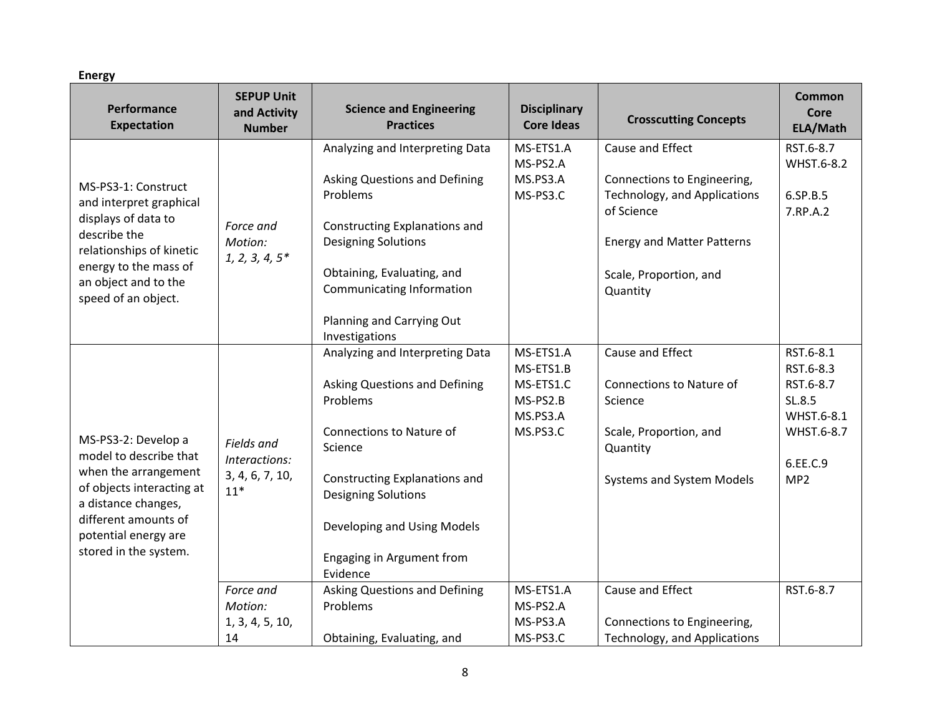**Energy**

| Performance<br><b>Expectation</b>                                                                | <b>SEPUP Unit</b><br>and Activity<br><b>Number</b> | <b>Science and Engineering</b><br><b>Practices</b>                                                     | <b>Disciplinary</b><br><b>Core Ideas</b>                   | <b>Crosscutting Concepts</b>                                              | <b>Common</b><br>Core<br>ELA/Math                            |
|--------------------------------------------------------------------------------------------------|----------------------------------------------------|--------------------------------------------------------------------------------------------------------|------------------------------------------------------------|---------------------------------------------------------------------------|--------------------------------------------------------------|
|                                                                                                  |                                                    | Analyzing and Interpreting Data                                                                        | MS-ETS1.A                                                  | Cause and Effect                                                          | RST.6-8.7                                                    |
| MS-PS3-1: Construct<br>and interpret graphical<br>displays of data to                            | Force and                                          | Asking Questions and Defining<br>Problems<br>Constructing Explanations and                             | MS-PS2.A<br>MS.PS3.A<br>MS-PS3.C                           | Connections to Engineering,<br>Technology, and Applications<br>of Science | WHST.6-8.2<br>6.SP.B.5<br>7.RP.A.2                           |
| describe the                                                                                     | Motion:                                            | <b>Designing Solutions</b>                                                                             |                                                            | <b>Energy and Matter Patterns</b>                                         |                                                              |
| relationships of kinetic<br>energy to the mass of<br>an object and to the<br>speed of an object. | $1, 2, 3, 4, 5*$                                   | Obtaining, Evaluating, and<br>Communicating Information<br>Planning and Carrying Out<br>Investigations |                                                            | Scale, Proportion, and<br>Quantity                                        |                                                              |
|                                                                                                  |                                                    | Analyzing and Interpreting Data                                                                        | MS-ETS1.A                                                  | Cause and Effect                                                          | RST.6-8.1                                                    |
| MS-PS3-2: Develop a                                                                              |                                                    | Asking Questions and Defining<br>Problems<br>Connections to Nature of                                  | MS-ETS1.B<br>MS-ETS1.C<br>MS-PS2.B<br>MS.PS3.A<br>MS.PS3.C | Connections to Nature of<br>Science<br>Scale, Proportion, and             | RST.6-8.3<br>RST.6-8.7<br>SL.8.5<br>WHST.6-8.1<br>WHST.6-8.7 |
| model to describe that                                                                           | Fields and                                         | Science                                                                                                |                                                            | Quantity                                                                  |                                                              |
| when the arrangement<br>of objects interacting at<br>a distance changes,<br>different amounts of | Interactions:<br>3, 4, 6, 7, 10,<br>$11*$          | Constructing Explanations and<br><b>Designing Solutions</b>                                            |                                                            | Systems and System Models                                                 | 6.EE.C.9<br>MP <sub>2</sub>                                  |
| potential energy are                                                                             |                                                    | Developing and Using Models                                                                            |                                                            |                                                                           |                                                              |
| stored in the system.                                                                            |                                                    | Engaging in Argument from<br>Evidence                                                                  |                                                            |                                                                           |                                                              |
|                                                                                                  | Force and                                          | Asking Questions and Defining                                                                          | MS-ETS1.A                                                  | Cause and Effect                                                          | RST.6-8.7                                                    |
|                                                                                                  | Motion:                                            | Problems                                                                                               | MS-PS2.A<br>MS-PS3.A                                       |                                                                           |                                                              |
|                                                                                                  | 1, 3, 4, 5, 10,<br>14                              | Obtaining, Evaluating, and                                                                             | MS-PS3.C                                                   | Connections to Engineering,<br>Technology, and Applications               |                                                              |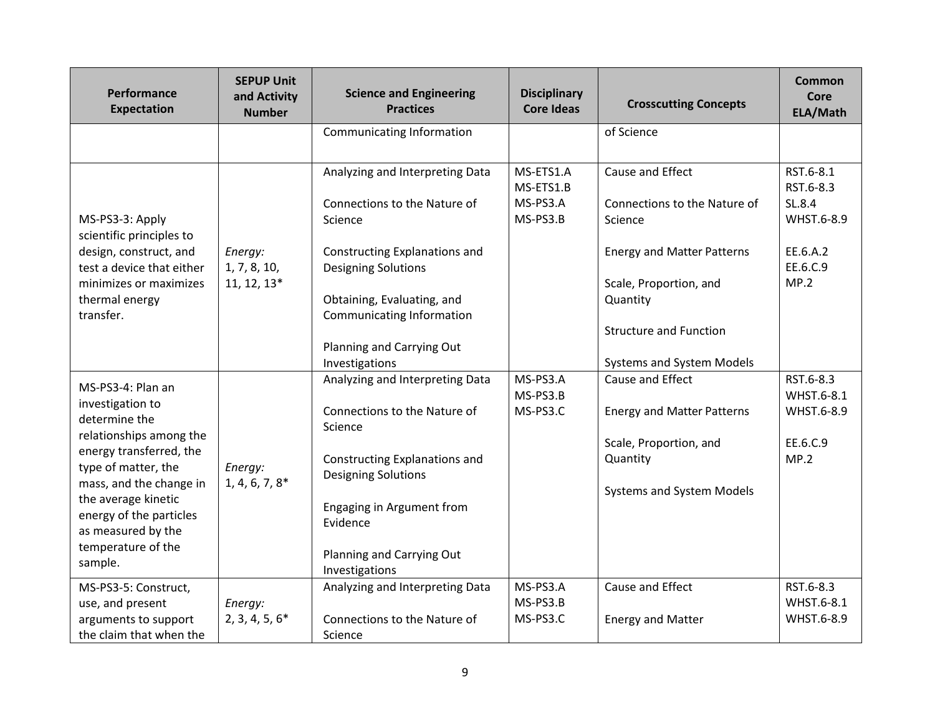| Performance<br><b>Expectation</b>                                                                                                                                                                                                                                       | <b>SEPUP Unit</b><br>and Activity<br><b>Number</b> | <b>Science and Engineering</b><br><b>Practices</b>                                                                                                                                                                                                         | <b>Disciplinary</b><br><b>Core Ideas</b>       | <b>Crosscutting Concepts</b>                                                                                                                                                                         | <b>Common</b><br>Core<br>ELA/Math                                              |
|-------------------------------------------------------------------------------------------------------------------------------------------------------------------------------------------------------------------------------------------------------------------------|----------------------------------------------------|------------------------------------------------------------------------------------------------------------------------------------------------------------------------------------------------------------------------------------------------------------|------------------------------------------------|------------------------------------------------------------------------------------------------------------------------------------------------------------------------------------------------------|--------------------------------------------------------------------------------|
|                                                                                                                                                                                                                                                                         |                                                    | Communicating Information                                                                                                                                                                                                                                  |                                                | of Science                                                                                                                                                                                           |                                                                                |
| MS-PS3-3: Apply<br>scientific principles to<br>design, construct, and<br>test a device that either<br>minimizes or maximizes<br>thermal energy<br>transfer.                                                                                                             | Energy:<br>1, 7, 8, 10,<br>$11, 12, 13*$           | Analyzing and Interpreting Data<br>Connections to the Nature of<br>Science<br>Constructing Explanations and<br><b>Designing Solutions</b><br>Obtaining, Evaluating, and<br><b>Communicating Information</b><br>Planning and Carrying Out<br>Investigations | MS-ETS1.A<br>MS-ETS1.B<br>MS-PS3.A<br>MS-PS3.B | Cause and Effect<br>Connections to the Nature of<br>Science<br><b>Energy and Matter Patterns</b><br>Scale, Proportion, and<br>Quantity<br><b>Structure and Function</b><br>Systems and System Models | RST.6-8.1<br>RST.6-8.3<br>SL.8.4<br>WHST.6-8.9<br>EE.6.A.2<br>EE.6.C.9<br>MP.2 |
| MS-PS3-4: Plan an<br>investigation to<br>determine the<br>relationships among the<br>energy transferred, the<br>type of matter, the<br>mass, and the change in<br>the average kinetic<br>energy of the particles<br>as measured by the<br>temperature of the<br>sample. | Energy:<br>$1, 4, 6, 7, 8*$                        | Analyzing and Interpreting Data<br>Connections to the Nature of<br>Science<br>Constructing Explanations and<br><b>Designing Solutions</b><br>Engaging in Argument from<br>Evidence<br>Planning and Carrying Out<br>Investigations                          | MS-PS3.A<br>MS-PS3.B<br>MS-PS3.C               | Cause and Effect<br><b>Energy and Matter Patterns</b><br>Scale, Proportion, and<br>Quantity<br>Systems and System Models                                                                             | RST.6-8.3<br>WHST.6-8.1<br>WHST.6-8.9<br>EE.6.C.9<br>MP.2                      |
| MS-PS3-5: Construct,<br>use, and present<br>arguments to support<br>the claim that when the                                                                                                                                                                             | Energy:<br>$2, 3, 4, 5, 6*$                        | Analyzing and Interpreting Data<br>Connections to the Nature of<br>Science                                                                                                                                                                                 | MS-PS3.A<br>MS-PS3.B<br>MS-PS3.C               | Cause and Effect<br><b>Energy and Matter</b>                                                                                                                                                         | RST.6-8.3<br>WHST.6-8.1<br>WHST.6-8.9                                          |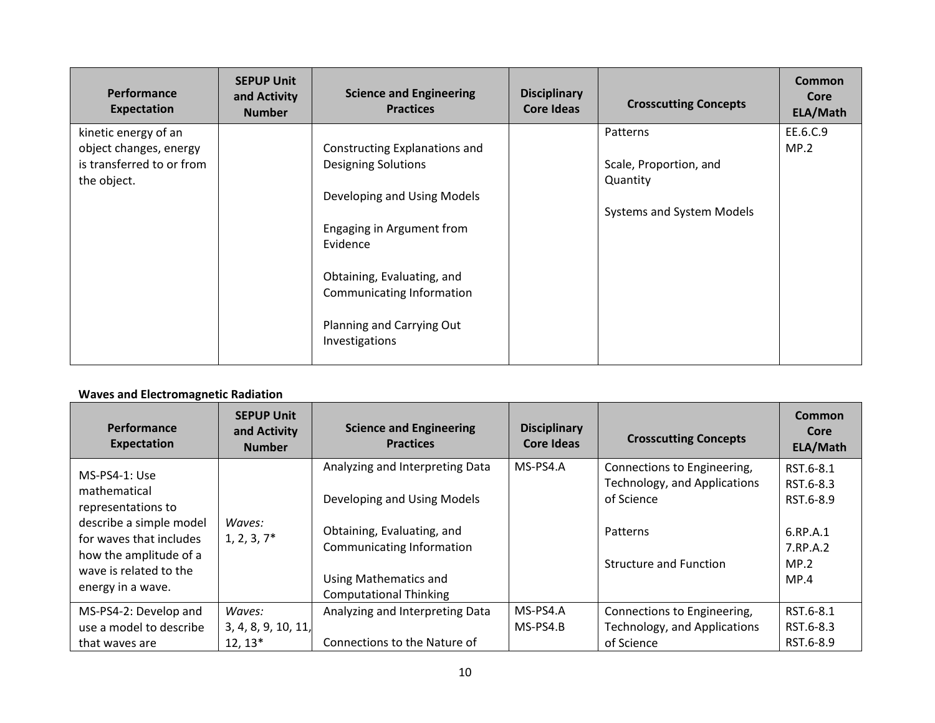| Performance<br><b>Expectation</b> | <b>SEPUP Unit</b><br>and Activity<br><b>Number</b> | <b>Science and Engineering</b><br><b>Practices</b>      | <b>Disciplinary</b><br><b>Core Ideas</b> | <b>Crosscutting Concepts</b> | <b>Common</b><br>Core<br>ELA/Math |
|-----------------------------------|----------------------------------------------------|---------------------------------------------------------|------------------------------------------|------------------------------|-----------------------------------|
| kinetic energy of an              |                                                    |                                                         |                                          | Patterns                     | EE.6.C.9                          |
| object changes, energy            |                                                    | Constructing Explanations and                           |                                          |                              | MP.2                              |
| is transferred to or from         |                                                    | <b>Designing Solutions</b>                              |                                          | Scale, Proportion, and       |                                   |
| the object.                       |                                                    |                                                         |                                          | Quantity                     |                                   |
|                                   |                                                    | Developing and Using Models                             |                                          |                              |                                   |
|                                   |                                                    |                                                         |                                          | Systems and System Models    |                                   |
|                                   |                                                    | Engaging in Argument from<br>Evidence                   |                                          |                              |                                   |
|                                   |                                                    | Obtaining, Evaluating, and<br>Communicating Information |                                          |                              |                                   |
|                                   |                                                    | Planning and Carrying Out<br>Investigations             |                                          |                              |                                   |

# **Waves and Electromagnetic Radiation**

| <b>Performance</b><br>Expectation                                                                | <b>SEPUP Unit</b><br>and Activity<br><b>Number</b> | <b>Science and Engineering</b><br><b>Practices</b>                                           | <b>Disciplinary</b><br>Core Ideas | <b>Crosscutting Concepts</b>                                                          | Common<br>Core<br>ELA/Math                      |
|--------------------------------------------------------------------------------------------------|----------------------------------------------------|----------------------------------------------------------------------------------------------|-----------------------------------|---------------------------------------------------------------------------------------|-------------------------------------------------|
| MS-PS4-1: Use<br>mathematical<br>representations to<br>describe a simple model                   | Waves:<br>$1, 2, 3, 7*$                            | Analyzing and Interpreting Data<br>Developing and Using Models<br>Obtaining, Evaluating, and | MS-PS4.A                          | Connections to Engineering,<br>Technology, and Applications<br>of Science<br>Patterns | RST.6-8.1<br>RST.6-8.3<br>RST.6-8.9<br>6.RP.A.1 |
| for waves that includes<br>how the amplitude of a<br>wave is related to the<br>energy in a wave. |                                                    | <b>Communicating Information</b><br>Using Mathematics and<br><b>Computational Thinking</b>   |                                   | <b>Structure and Function</b>                                                         | 7.RP.A.2<br>MP.2<br>MP.4                        |
| MS-PS4-2: Develop and                                                                            | Waves:                                             | Analyzing and Interpreting Data                                                              | MS-PS4.A                          | Connections to Engineering,                                                           | RST.6-8.1                                       |
| use a model to describe                                                                          | 3, 4, 8, 9, 10, 11,                                |                                                                                              | MS-PS4.B                          | Technology, and Applications                                                          | RST.6-8.3                                       |
| that waves are                                                                                   | $12, 13*$                                          | Connections to the Nature of                                                                 |                                   | of Science                                                                            | RST.6-8.9                                       |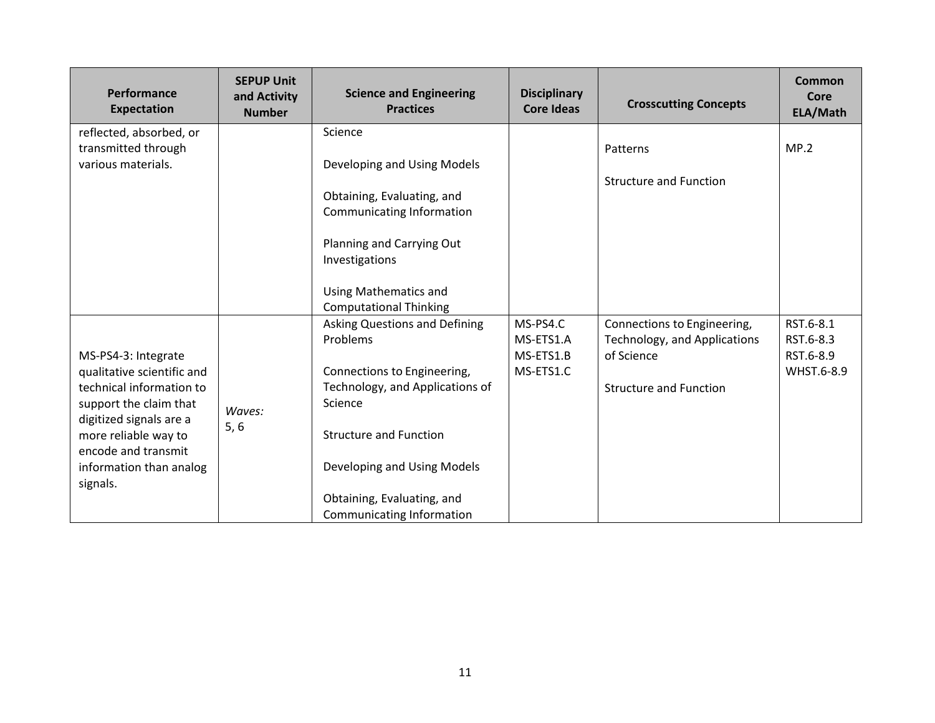| Performance<br><b>Expectation</b>                                                                                                                                                                                        | <b>SEPUP Unit</b><br>and Activity<br><b>Number</b> | <b>Science and Engineering</b><br><b>Practices</b>                                                                                                                                                                                                                                        | <b>Disciplinary</b><br><b>Core Ideas</b>        | <b>Crosscutting Concepts</b>                                                                               | Common<br>Core<br>ELA/Math                        |
|--------------------------------------------------------------------------------------------------------------------------------------------------------------------------------------------------------------------------|----------------------------------------------------|-------------------------------------------------------------------------------------------------------------------------------------------------------------------------------------------------------------------------------------------------------------------------------------------|-------------------------------------------------|------------------------------------------------------------------------------------------------------------|---------------------------------------------------|
| reflected, absorbed, or<br>transmitted through<br>various materials.                                                                                                                                                     |                                                    | Science<br>Developing and Using Models<br>Obtaining, Evaluating, and                                                                                                                                                                                                                      |                                                 | Patterns<br><b>Structure and Function</b>                                                                  | MP.2                                              |
|                                                                                                                                                                                                                          |                                                    | Communicating Information<br>Planning and Carrying Out<br>Investigations<br><b>Using Mathematics and</b>                                                                                                                                                                                  |                                                 |                                                                                                            |                                                   |
| MS-PS4-3: Integrate<br>qualitative scientific and<br>technical information to<br>support the claim that<br>digitized signals are a<br>more reliable way to<br>encode and transmit<br>information than analog<br>signals. | Waves:<br>5, 6                                     | <b>Computational Thinking</b><br><b>Asking Questions and Defining</b><br>Problems<br>Connections to Engineering,<br>Technology, and Applications of<br>Science<br><b>Structure and Function</b><br>Developing and Using Models<br>Obtaining, Evaluating, and<br>Communicating Information | MS-PS4.C<br>MS-ETS1.A<br>MS-ETS1.B<br>MS-ETS1.C | Connections to Engineering,<br>Technology, and Applications<br>of Science<br><b>Structure and Function</b> | RST.6-8.1<br>RST.6-8.3<br>RST.6-8.9<br>WHST.6-8.9 |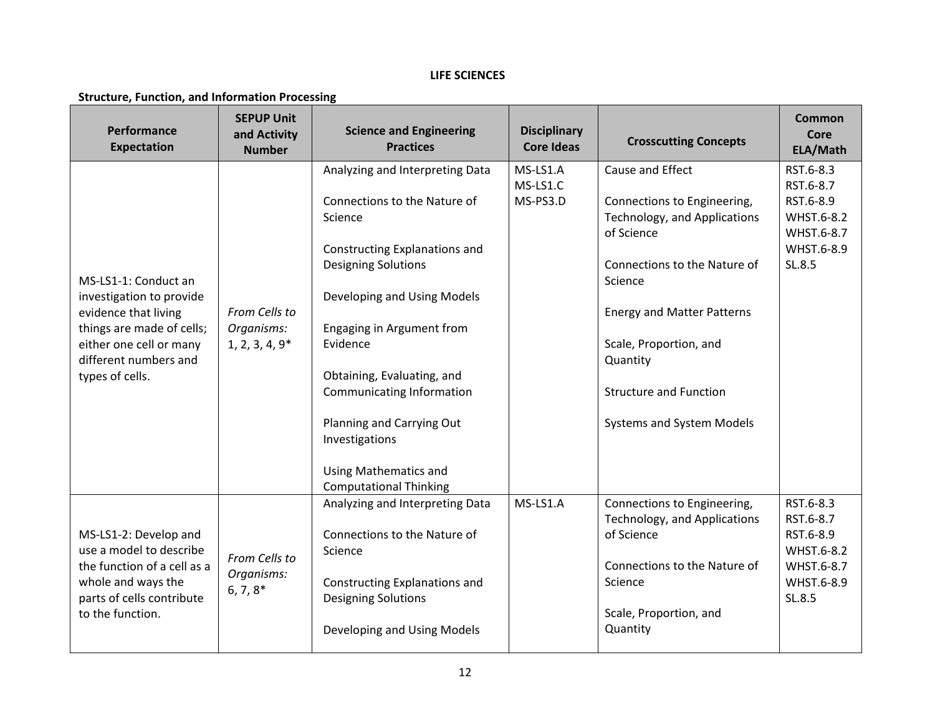### **LIFE SCIENCES**

#### **Structure, Function, and Information Processing**

| Performance<br><b>Expectation</b>                                                                                                                                            | <b>SEPUP Unit</b><br>and Activity<br><b>Number</b> | <b>Science and Engineering</b><br><b>Practices</b>                                                                                                                                                                                                                                                                                                                                           | <b>Disciplinary</b><br><b>Core Ideas</b> | <b>Crosscutting Concepts</b>                                                                                                                                                                                                                                                      | <b>Common</b><br>Core<br>ELA/Math                                                       |
|------------------------------------------------------------------------------------------------------------------------------------------------------------------------------|----------------------------------------------------|----------------------------------------------------------------------------------------------------------------------------------------------------------------------------------------------------------------------------------------------------------------------------------------------------------------------------------------------------------------------------------------------|------------------------------------------|-----------------------------------------------------------------------------------------------------------------------------------------------------------------------------------------------------------------------------------------------------------------------------------|-----------------------------------------------------------------------------------------|
| MS-LS1-1: Conduct an<br>investigation to provide<br>evidence that living<br>things are made of cells;<br>either one cell or many<br>different numbers and<br>types of cells. | From Cells to<br>Organisms:<br>$1, 2, 3, 4, 9*$    | Analyzing and Interpreting Data<br>Connections to the Nature of<br>Science<br>Constructing Explanations and<br><b>Designing Solutions</b><br>Developing and Using Models<br>Engaging in Argument from<br>Evidence<br>Obtaining, Evaluating, and<br>Communicating Information<br>Planning and Carrying Out<br>Investigations<br><b>Using Mathematics and</b><br><b>Computational Thinking</b> | MS-LS1.A<br>MS-LS1.C<br>MS-PS3.D         | Cause and Effect<br>Connections to Engineering,<br>Technology, and Applications<br>of Science<br>Connections to the Nature of<br>Science<br><b>Energy and Matter Patterns</b><br>Scale, Proportion, and<br>Quantity<br><b>Structure and Function</b><br>Systems and System Models | RST.6-8.3<br>RST.6-8.7<br>RST.6-8.9<br>WHST.6-8.2<br>WHST.6-8.7<br>WHST.6-8.9<br>SL.8.5 |
| MS-LS1-2: Develop and<br>use a model to describe<br>the function of a cell as a<br>whole and ways the<br>parts of cells contribute<br>to the function.                       | From Cells to<br>Organisms:<br>$6, 7, 8*$          | Analyzing and Interpreting Data<br>Connections to the Nature of<br>Science<br>Constructing Explanations and<br><b>Designing Solutions</b><br>Developing and Using Models                                                                                                                                                                                                                     | MS-LS1.A                                 | Connections to Engineering,<br>Technology, and Applications<br>of Science<br>Connections to the Nature of<br>Science<br>Scale, Proportion, and<br>Quantity                                                                                                                        | RST.6-8.3<br>RST.6-8.7<br>RST.6-8.9<br>WHST.6-8.2<br>WHST.6-8.7<br>WHST.6-8.9<br>SL.8.5 |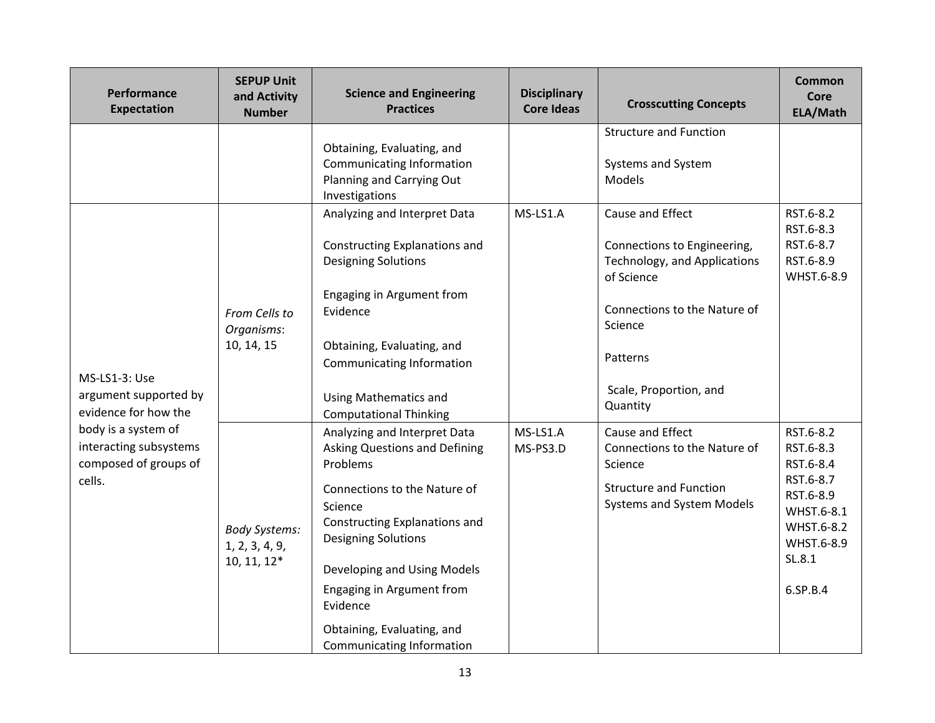| Performance<br><b>Expectation</b>                                                | <b>SEPUP Unit</b><br>and Activity<br><b>Number</b>      | <b>Science and Engineering</b><br><b>Practices</b>                                                                                                                                                                                                                                                                            | <b>Disciplinary</b><br><b>Core Ideas</b> | <b>Crosscutting Concepts</b>                                                                                                                                                               | <b>Common</b><br>Core<br>ELA/Math                                                                                             |
|----------------------------------------------------------------------------------|---------------------------------------------------------|-------------------------------------------------------------------------------------------------------------------------------------------------------------------------------------------------------------------------------------------------------------------------------------------------------------------------------|------------------------------------------|--------------------------------------------------------------------------------------------------------------------------------------------------------------------------------------------|-------------------------------------------------------------------------------------------------------------------------------|
|                                                                                  |                                                         | Obtaining, Evaluating, and<br>Communicating Information<br>Planning and Carrying Out<br>Investigations                                                                                                                                                                                                                        |                                          | <b>Structure and Function</b><br>Systems and System<br>Models                                                                                                                              |                                                                                                                               |
| MS-LS1-3: Use<br>argument supported by<br>evidence for how the                   | From Cells to<br>Organisms:<br>10, 14, 15               | Analyzing and Interpret Data<br>Constructing Explanations and<br><b>Designing Solutions</b><br>Engaging in Argument from<br>Evidence<br>Obtaining, Evaluating, and<br>Communicating Information<br><b>Using Mathematics and</b><br><b>Computational Thinking</b>                                                              | MS-LS1.A                                 | Cause and Effect<br>Connections to Engineering,<br>Technology, and Applications<br>of Science<br>Connections to the Nature of<br>Science<br>Patterns<br>Scale, Proportion, and<br>Quantity | RST.6-8.2<br>RST.6-8.3<br>RST.6-8.7<br>RST.6-8.9<br>WHST.6-8.9                                                                |
| body is a system of<br>interacting subsystems<br>composed of groups of<br>cells. | <b>Body Systems:</b><br>1, 2, 3, 4, 9,<br>$10, 11, 12*$ | Analyzing and Interpret Data<br><b>Asking Questions and Defining</b><br>Problems<br>Connections to the Nature of<br>Science<br>Constructing Explanations and<br><b>Designing Solutions</b><br>Developing and Using Models<br>Engaging in Argument from<br>Evidence<br>Obtaining, Evaluating, and<br>Communicating Information | MS-LS1.A<br>MS-PS3.D                     | Cause and Effect<br>Connections to the Nature of<br>Science<br><b>Structure and Function</b><br>Systems and System Models                                                                  | RST.6-8.2<br>RST.6-8.3<br>RST.6-8.4<br>RST.6-8.7<br>RST.6-8.9<br>WHST.6-8.1<br>WHST.6-8.2<br>WHST.6-8.9<br>SL.8.1<br>6.SP.B.4 |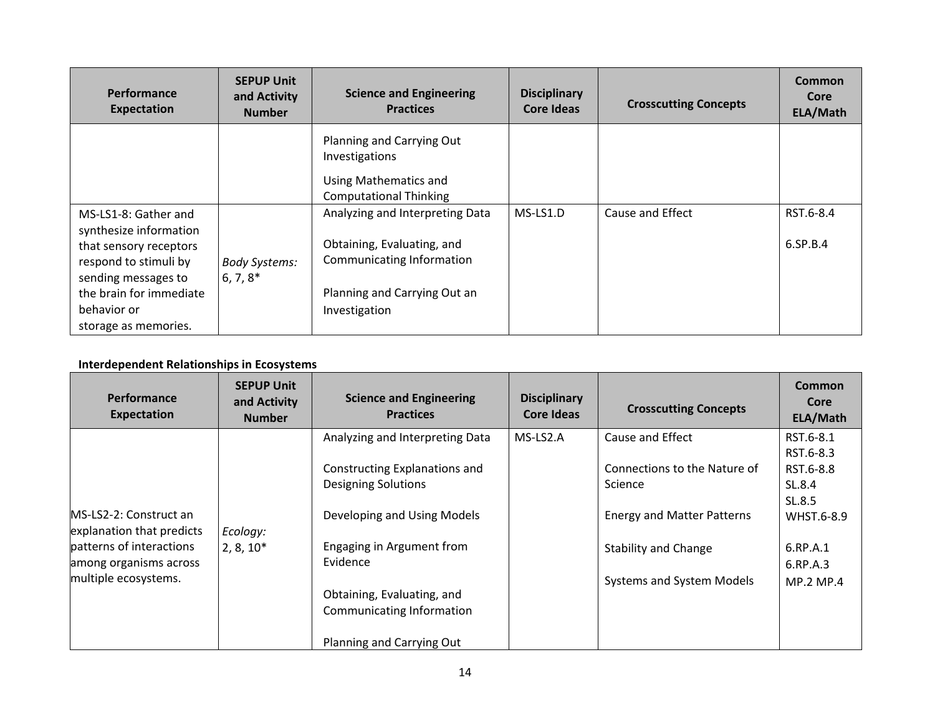| <b>Performance</b><br><b>Expectation</b>                                                                                                                                                   | <b>SEPUP Unit</b><br>and Activity<br><b>Number</b> | <b>Science and Engineering</b><br><b>Practices</b>                                                                                          | <b>Disciplinary</b><br>Core Ideas | <b>Crosscutting Concepts</b> | <b>Common</b><br>Core<br>ELA/Math |
|--------------------------------------------------------------------------------------------------------------------------------------------------------------------------------------------|----------------------------------------------------|---------------------------------------------------------------------------------------------------------------------------------------------|-----------------------------------|------------------------------|-----------------------------------|
|                                                                                                                                                                                            |                                                    | Planning and Carrying Out<br>Investigations<br>Using Mathematics and<br><b>Computational Thinking</b>                                       |                                   |                              |                                   |
| MS-LS1-8: Gather and<br>synthesize information<br>that sensory receptors<br>respond to stimuli by<br>sending messages to<br>the brain for immediate<br>behavior or<br>storage as memories. | <b>Body Systems:</b><br>$6, 7, 8^*$                | Analyzing and Interpreting Data<br>Obtaining, Evaluating, and<br>Communicating Information<br>Planning and Carrying Out an<br>Investigation | $MS-LS1.D$                        | Cause and Effect             | RST.6-8.4<br>6.SP.B.4             |

## **Interdependent Relationships in Ecosystems**

| <b>Performance</b><br><b>Expectation</b> | <b>SEPUP Unit</b><br>and Activity<br><b>Number</b> | <b>Science and Engineering</b><br><b>Practices</b> | <b>Disciplinary</b><br><b>Core Ideas</b> | <b>Crosscutting Concepts</b>      | <b>Common</b><br>Core<br>ELA/Math |
|------------------------------------------|----------------------------------------------------|----------------------------------------------------|------------------------------------------|-----------------------------------|-----------------------------------|
|                                          |                                                    | Analyzing and Interpreting Data                    | MS-LS2.A                                 | Cause and Effect                  | RST.6-8.1                         |
|                                          |                                                    |                                                    |                                          |                                   | RST.6-8.3                         |
|                                          |                                                    | Constructing Explanations and                      |                                          | Connections to the Nature of      | RST.6-8.8                         |
|                                          |                                                    | <b>Designing Solutions</b>                         |                                          | Science                           | SL.8.4                            |
|                                          |                                                    |                                                    |                                          |                                   | SL.8.5                            |
| MS-LS2-2: Construct an                   |                                                    | Developing and Using Models                        |                                          | <b>Energy and Matter Patterns</b> | WHST.6-8.9                        |
| explanation that predicts                | Ecology:                                           |                                                    |                                          |                                   |                                   |
| patterns of interactions                 | $2, 8, 10*$                                        | Engaging in Argument from                          |                                          | <b>Stability and Change</b>       | 6.RP.A.1                          |
| among organisms across                   |                                                    | Evidence                                           |                                          |                                   | 6.RP.A.3                          |
| multiple ecosystems.                     |                                                    |                                                    |                                          | Systems and System Models         | <b>MP.2 MP.4</b>                  |
|                                          |                                                    | Obtaining, Evaluating, and                         |                                          |                                   |                                   |
|                                          |                                                    | Communicating Information                          |                                          |                                   |                                   |
|                                          |                                                    | Planning and Carrying Out                          |                                          |                                   |                                   |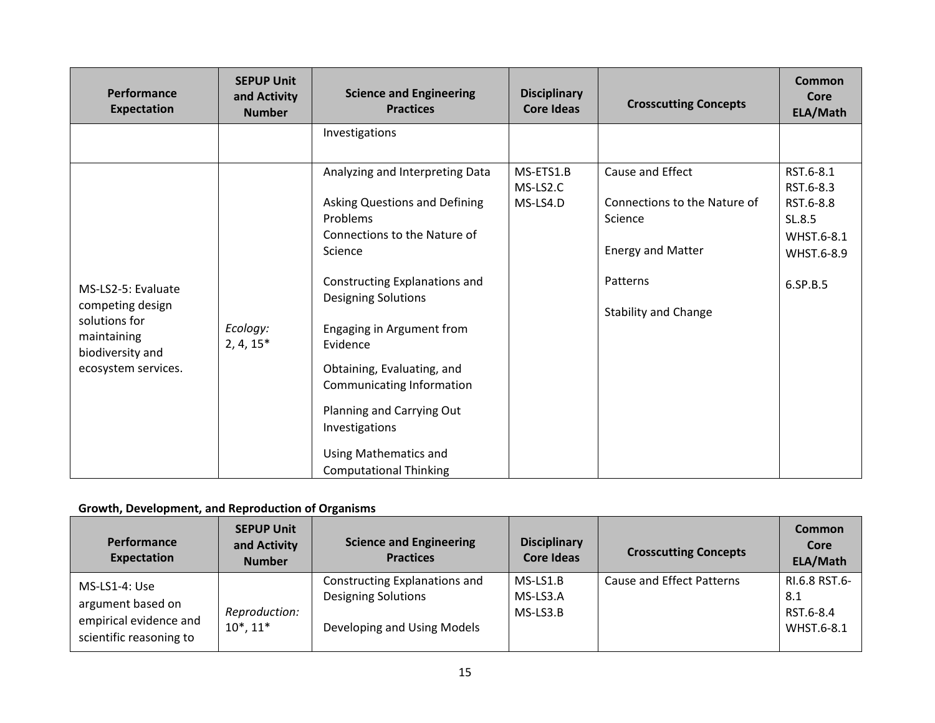| Performance<br><b>Expectation</b>                                      | <b>SEPUP Unit</b><br>and Activity<br><b>Number</b> | <b>Science and Engineering</b><br><b>Practices</b>                                                     | <b>Disciplinary</b><br><b>Core Ideas</b> | <b>Crosscutting Concepts</b>                     | Common<br>Core<br>ELA/Math          |
|------------------------------------------------------------------------|----------------------------------------------------|--------------------------------------------------------------------------------------------------------|------------------------------------------|--------------------------------------------------|-------------------------------------|
|                                                                        |                                                    | Investigations<br>Analyzing and Interpreting Data<br>Asking Questions and Defining                     | MS-ETS1.B<br>MS-LS2.C<br>MS-LS4.D        | Cause and Effect<br>Connections to the Nature of | RST.6-8.1<br>RST.6-8.3<br>RST.6-8.8 |
|                                                                        | Ecology:<br>$2, 4, 15*$                            | Problems<br>Connections to the Nature of<br>Science                                                    |                                          | Science<br><b>Energy and Matter</b>              | SL.8.5<br>WHST.6-8.1<br>WHST.6-8.9  |
| MS-LS2-5: Evaluate<br>competing design<br>solutions for<br>maintaining |                                                    | Constructing Explanations and<br><b>Designing Solutions</b><br>Engaging in Argument from<br>Evidence   |                                          | Patterns<br><b>Stability and Change</b>          | 6.SP.B.5                            |
| biodiversity and<br>ecosystem services.                                |                                                    | Obtaining, Evaluating, and<br>Communicating Information<br>Planning and Carrying Out<br>Investigations |                                          |                                                  |                                     |
|                                                                        |                                                    | Using Mathematics and<br><b>Computational Thinking</b>                                                 |                                          |                                                  |                                     |

## **Growth, Development, and Reproduction of Organisms**

| Performance<br>Expectation                                                              | <b>SEPUP Unit</b><br>and Activity<br><b>Number</b> | <b>Science and Engineering</b><br><b>Practices</b>                                         | <b>Disciplinary</b><br><b>Core Ideas</b> | <b>Crosscutting Concepts</b> | <b>Common</b><br>Core<br>ELA/Math               |
|-----------------------------------------------------------------------------------------|----------------------------------------------------|--------------------------------------------------------------------------------------------|------------------------------------------|------------------------------|-------------------------------------------------|
| MS-LS1-4: Use<br>argument based on<br>empirical evidence and<br>scientific reasoning to | Reproduction:<br>$10^*$ , $11^*$                   | Constructing Explanations and<br><b>Designing Solutions</b><br>Developing and Using Models | MS-LS1.B<br>MS-LS3.A<br>MS-LS3.B         | Cause and Effect Patterns    | RI.6.8 RST.6-<br>8.1<br>RST.6-8.4<br>WHST.6-8.1 |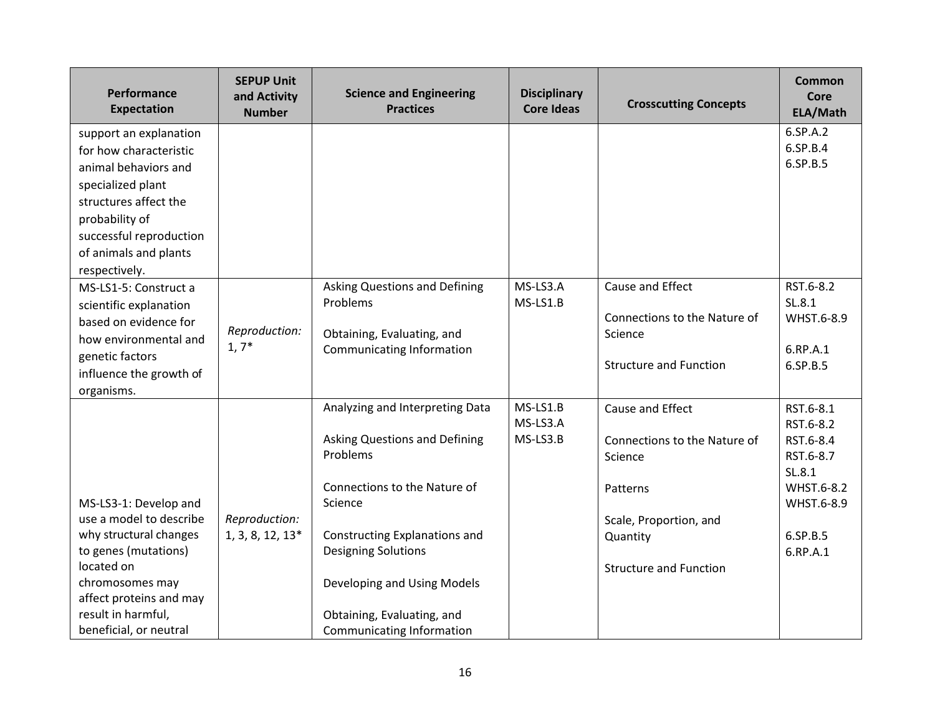| <b>Performance</b><br><b>Expectation</b> | <b>SEPUP Unit</b><br>and Activity<br><b>Number</b> | <b>Science and Engineering</b><br><b>Practices</b> | <b>Disciplinary</b><br><b>Core Ideas</b> | <b>Crosscutting Concepts</b>            | Common<br>Core<br>ELA/Math |
|------------------------------------------|----------------------------------------------------|----------------------------------------------------|------------------------------------------|-----------------------------------------|----------------------------|
| support an explanation                   |                                                    |                                                    |                                          |                                         | 6.SP.A.2                   |
| for how characteristic                   |                                                    |                                                    |                                          |                                         | 6.SP.B.4                   |
| animal behaviors and                     |                                                    |                                                    |                                          |                                         | 6.SP.B.5                   |
| specialized plant                        |                                                    |                                                    |                                          |                                         |                            |
| structures affect the                    |                                                    |                                                    |                                          |                                         |                            |
| probability of                           |                                                    |                                                    |                                          |                                         |                            |
| successful reproduction                  |                                                    |                                                    |                                          |                                         |                            |
| of animals and plants                    |                                                    |                                                    |                                          |                                         |                            |
| respectively.                            |                                                    |                                                    |                                          |                                         |                            |
| MS-LS1-5: Construct a                    |                                                    | <b>Asking Questions and Defining</b>               | MS-LS3.A                                 | Cause and Effect                        | RST.6-8.2                  |
| scientific explanation                   |                                                    | Problems                                           | MS-LS1.B                                 |                                         | SL.8.1                     |
| based on evidence for                    | Reproduction:                                      | Obtaining, Evaluating, and                         |                                          | Connections to the Nature of<br>Science | WHST.6-8.9                 |
| how environmental and                    | $1, 7^*$                                           | <b>Communicating Information</b>                   |                                          |                                         | 6.RP.A.1                   |
| genetic factors                          |                                                    |                                                    |                                          | <b>Structure and Function</b>           | 6.SP.B.5                   |
| influence the growth of                  |                                                    |                                                    |                                          |                                         |                            |
| organisms.                               |                                                    |                                                    |                                          |                                         |                            |
|                                          |                                                    | Analyzing and Interpreting Data                    | MS-LS1.B<br>MS-LS3.A                     | Cause and Effect                        | RST.6-8.1                  |
|                                          |                                                    | Asking Questions and Defining                      | MS-LS3.B                                 |                                         | RST.6-8.2<br>RST.6-8.4     |
|                                          |                                                    | Problems                                           |                                          | Connections to the Nature of<br>Science | RST.6-8.7                  |
|                                          |                                                    |                                                    |                                          |                                         | SL.8.1                     |
|                                          |                                                    | Connections to the Nature of                       |                                          | Patterns                                | WHST.6-8.2                 |
| MS-LS3-1: Develop and                    |                                                    | Science                                            |                                          |                                         | WHST.6-8.9                 |
| use a model to describe                  | Reproduction:                                      |                                                    |                                          | Scale, Proportion, and                  |                            |
| why structural changes                   | 1, 3, 8, 12, 13*                                   | Constructing Explanations and                      |                                          | Quantity                                | 6.SP.B.5                   |
| to genes (mutations)                     |                                                    | <b>Designing Solutions</b>                         |                                          |                                         | 6.RP.A.1                   |
| located on                               |                                                    |                                                    |                                          | <b>Structure and Function</b>           |                            |
| chromosomes may                          |                                                    | Developing and Using Models                        |                                          |                                         |                            |
| affect proteins and may                  |                                                    |                                                    |                                          |                                         |                            |
| result in harmful,                       |                                                    | Obtaining, Evaluating, and                         |                                          |                                         |                            |
| beneficial, or neutral                   |                                                    | Communicating Information                          |                                          |                                         |                            |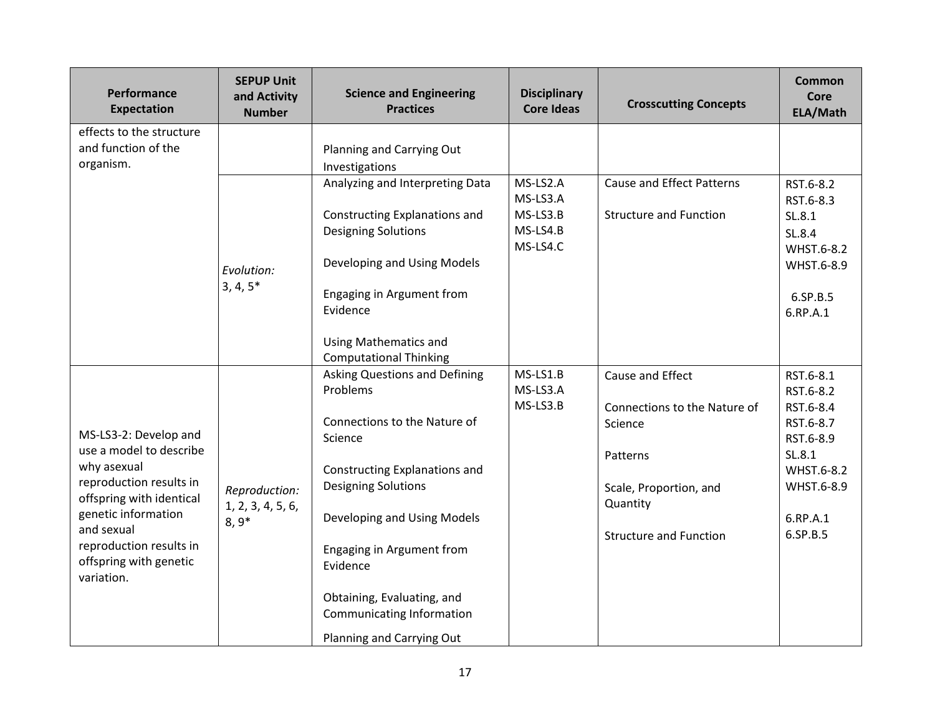| Performance<br><b>Expectation</b>                               | <b>SEPUP Unit</b><br>and Activity<br><b>Number</b> | <b>Science and Engineering</b><br><b>Practices</b>            | <b>Disciplinary</b><br><b>Core Ideas</b> | <b>Crosscutting Concepts</b>       | Common<br>Core<br>ELA/Math |
|-----------------------------------------------------------------|----------------------------------------------------|---------------------------------------------------------------|------------------------------------------|------------------------------------|----------------------------|
| effects to the structure                                        |                                                    |                                                               |                                          |                                    |                            |
| and function of the<br>organism.                                |                                                    | Planning and Carrying Out<br>Investigations                   |                                          |                                    |                            |
|                                                                 |                                                    | Analyzing and Interpreting Data                               | MS-LS2.A<br>MS-LS3.A                     | <b>Cause and Effect Patterns</b>   | RST.6-8.2<br>RST.6-8.3     |
|                                                                 |                                                    | Constructing Explanations and<br><b>Designing Solutions</b>   | MS-LS3.B<br>MS-LS4.B                     | <b>Structure and Function</b>      | SL.8.1<br>SL.8.4           |
|                                                                 |                                                    | Developing and Using Models                                   | MS-LS4.C                                 |                                    | WHST.6-8.2                 |
|                                                                 | Evolution:<br>$3, 4, 5*$                           |                                                               |                                          |                                    | WHST.6-8.9                 |
|                                                                 |                                                    | Engaging in Argument from<br>Evidence                         |                                          |                                    | 6.SP.B.5<br>6.RP.A.1       |
|                                                                 |                                                    | <b>Using Mathematics and</b><br><b>Computational Thinking</b> |                                          |                                    |                            |
|                                                                 |                                                    | <b>Asking Questions and Defining</b>                          | MS-LS1.B                                 | Cause and Effect                   | RST.6-8.1                  |
|                                                                 |                                                    | Problems                                                      | MS-LS3.A                                 |                                    | RST.6-8.2                  |
|                                                                 |                                                    |                                                               | MS-LS3.B                                 | Connections to the Nature of       | RST.6-8.4                  |
| MS-LS3-2: Develop and                                           |                                                    | Connections to the Nature of<br>Science                       |                                          | Science                            | RST.6-8.7<br>RST.6-8.9     |
| use a model to describe                                         |                                                    |                                                               |                                          | Patterns                           | SL.8.1                     |
| why asexual                                                     |                                                    | Constructing Explanations and                                 |                                          |                                    | WHST.6-8.2                 |
| reproduction results in<br>offspring with identical             | Reproduction:                                      | <b>Designing Solutions</b>                                    |                                          | Scale, Proportion, and<br>Quantity | WHST.6-8.9                 |
| genetic information                                             | 1, 2, 3, 4, 5, 6,<br>$8,9*$                        | Developing and Using Models                                   |                                          |                                    | 6.RP.A.1                   |
| and sexual                                                      |                                                    |                                                               |                                          | <b>Structure and Function</b>      | 6.SP.B.5                   |
| reproduction results in<br>offspring with genetic<br>variation. |                                                    | Engaging in Argument from<br>Evidence                         |                                          |                                    |                            |
|                                                                 |                                                    | Obtaining, Evaluating, and<br>Communicating Information       |                                          |                                    |                            |
|                                                                 |                                                    | Planning and Carrying Out                                     |                                          |                                    |                            |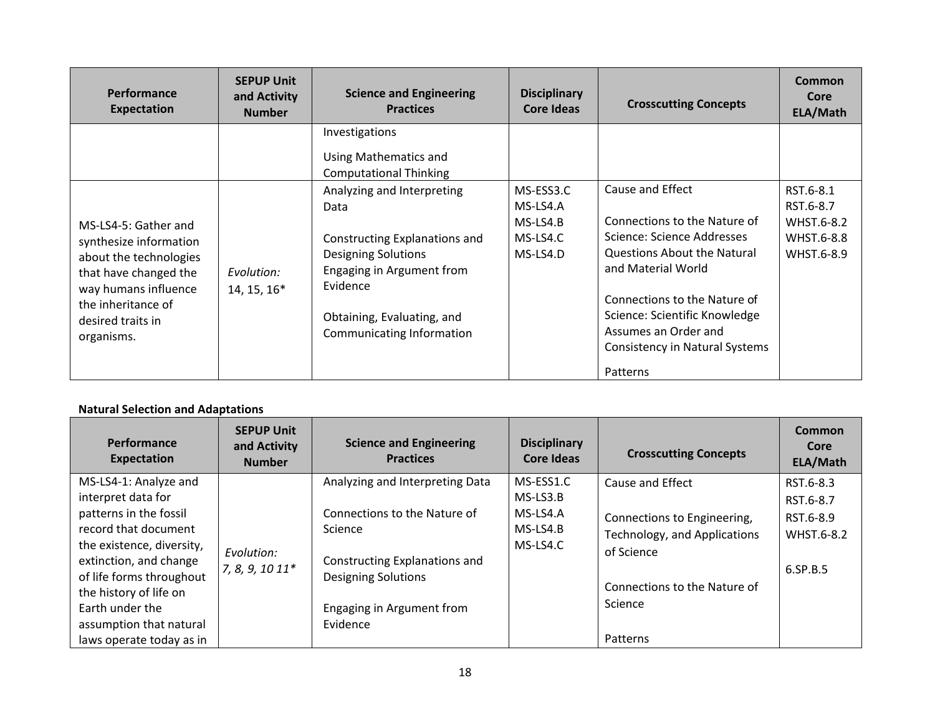| Performance<br><b>Expectation</b>                                                                                                                                                  | <b>SEPUP Unit</b><br>and Activity<br><b>Number</b> | <b>Science and Engineering</b><br><b>Practices</b>                                                                                                                                                    | <b>Disciplinary</b><br>Core Ideas                         | <b>Crosscutting Concepts</b>                                                                                                                                                                                                                                                      | <b>Common</b><br>Core<br>ELA/Math                                |
|------------------------------------------------------------------------------------------------------------------------------------------------------------------------------------|----------------------------------------------------|-------------------------------------------------------------------------------------------------------------------------------------------------------------------------------------------------------|-----------------------------------------------------------|-----------------------------------------------------------------------------------------------------------------------------------------------------------------------------------------------------------------------------------------------------------------------------------|------------------------------------------------------------------|
|                                                                                                                                                                                    |                                                    | Investigations<br>Using Mathematics and<br><b>Computational Thinking</b>                                                                                                                              |                                                           |                                                                                                                                                                                                                                                                                   |                                                                  |
| MS-LS4-5: Gather and<br>synthesize information<br>about the technologies<br>that have changed the<br>way humans influence<br>the inheritance of<br>desired traits in<br>organisms. | Evolution:<br>14, 15, 16*                          | Analyzing and Interpreting<br>Data<br>Constructing Explanations and<br><b>Designing Solutions</b><br>Engaging in Argument from<br>Evidence<br>Obtaining, Evaluating, and<br>Communicating Information | MS-ESS3.C<br>MS-LS4.A<br>MS-LS4.B<br>MS-LS4.C<br>MS-LS4.D | Cause and Effect<br>Connections to the Nature of<br>Science: Science Addresses<br>Questions About the Natural<br>and Material World<br>Connections to the Nature of<br>Science: Scientific Knowledge<br>Assumes an Order and<br><b>Consistency in Natural Systems</b><br>Patterns | RST.6-8.1<br>RST.6-8.7<br>WHST.6-8.2<br>WHST.6-8.8<br>WHST.6-8.9 |

# **Natural Selection and Adaptations**

| Performance<br>Expectation                                                                                                                                                                                                                                                           | <b>SEPUP Unit</b><br>and Activity<br><b>Number</b> | <b>Science and Engineering</b><br><b>Practices</b>                                                                                                                                 | <b>Disciplinary</b><br>Core Ideas                            | <b>Crosscutting Concepts</b>                                                                                                                         | Common<br>Core<br>ELA/Math                                    |
|--------------------------------------------------------------------------------------------------------------------------------------------------------------------------------------------------------------------------------------------------------------------------------------|----------------------------------------------------|------------------------------------------------------------------------------------------------------------------------------------------------------------------------------------|--------------------------------------------------------------|------------------------------------------------------------------------------------------------------------------------------------------------------|---------------------------------------------------------------|
| MS-LS4-1: Analyze and<br>interpret data for<br>patterns in the fossil<br>record that document<br>the existence, diversity,<br>extinction, and change<br>of life forms throughout<br>the history of life on<br>Earth under the<br>assumption that natural<br>laws operate today as in | Evolution:<br>7, 8, 9, 10 11*                      | Analyzing and Interpreting Data<br>Connections to the Nature of<br>Science<br>Constructing Explanations and<br><b>Designing Solutions</b><br>Engaging in Argument from<br>Evidence | MS-ESS1.C<br>$MS$ -LS3.B<br>MS-LS4.A<br>MS-LS4.B<br>MS-LS4.C | Cause and Effect<br>Connections to Engineering,<br>Technology, and Applications<br>of Science<br>Connections to the Nature of<br>Science<br>Patterns | RST.6-8.3<br>RST.6-8.7<br>RST.6-8.9<br>WHST.6-8.2<br>6.SP.B.5 |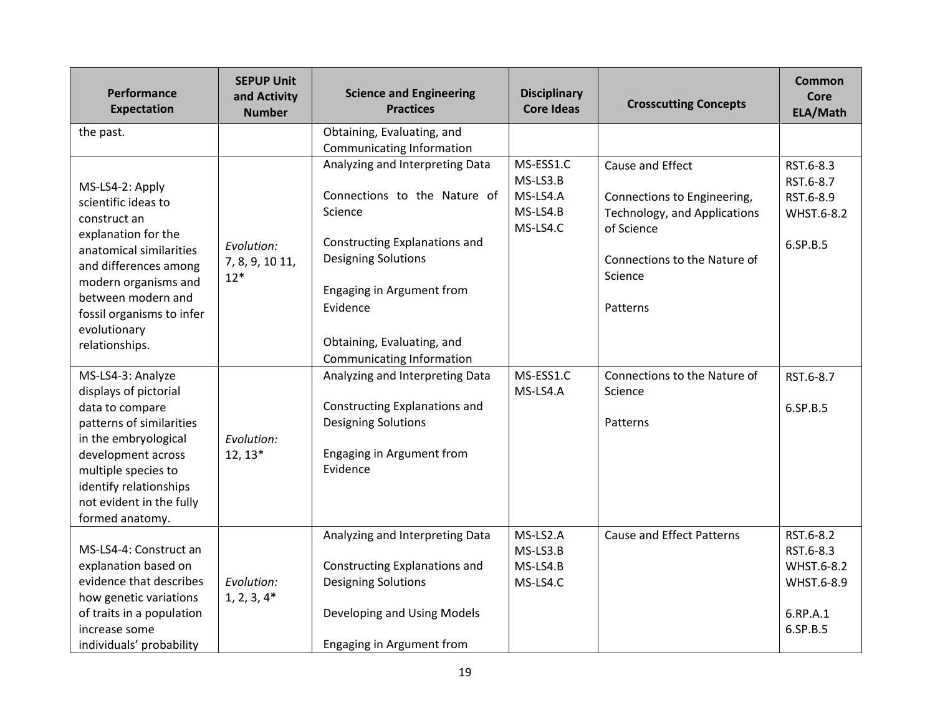| Performance<br><b>Expectation</b>                   | <b>SEPUP Unit</b><br>and Activity<br><b>Number</b> | <b>Science and Engineering</b><br><b>Practices</b>           | <b>Disciplinary</b><br><b>Core Ideas</b> | <b>Crosscutting Concepts</b>     | Common<br>Core<br>ELA/Math |
|-----------------------------------------------------|----------------------------------------------------|--------------------------------------------------------------|------------------------------------------|----------------------------------|----------------------------|
| the past.                                           |                                                    | Obtaining, Evaluating, and                                   |                                          |                                  |                            |
|                                                     |                                                    | Communicating Information<br>Analyzing and Interpreting Data | MS-ESS1.C                                |                                  |                            |
|                                                     |                                                    |                                                              | MS-LS3.B                                 | Cause and Effect                 | RST.6-8.3<br>RST.6-8.7     |
| MS-LS4-2: Apply<br>scientific ideas to              |                                                    | Connections to the Nature of                                 | MS-LS4.A                                 | Connections to Engineering,      | RST.6-8.9                  |
| construct an                                        |                                                    | Science                                                      | MS-LS4.B                                 | Technology, and Applications     | WHST.6-8.2                 |
| explanation for the                                 | Evolution:                                         | Constructing Explanations and                                | MS-LS4.C                                 | of Science                       | 6.SP.B.5                   |
| anatomical similarities                             | 7, 8, 9, 10 11,                                    | <b>Designing Solutions</b>                                   |                                          | Connections to the Nature of     |                            |
| and differences among<br>modern organisms and       | $12*$                                              |                                                              |                                          | Science                          |                            |
| between modern and                                  |                                                    | Engaging in Argument from                                    |                                          | Patterns                         |                            |
| fossil organisms to infer                           |                                                    | Evidence                                                     |                                          |                                  |                            |
| evolutionary<br>relationships.                      |                                                    | Obtaining, Evaluating, and                                   |                                          |                                  |                            |
|                                                     |                                                    | Communicating Information                                    |                                          |                                  |                            |
| MS-LS4-3: Analyze                                   |                                                    | Analyzing and Interpreting Data                              | MS-ESS1.C                                | Connections to the Nature of     | RST.6-8.7                  |
| displays of pictorial<br>data to compare            |                                                    | Constructing Explanations and                                | MS-LS4.A                                 | Science                          | 6.SP.B.5                   |
| patterns of similarities                            |                                                    | <b>Designing Solutions</b>                                   |                                          | Patterns                         |                            |
| in the embryological                                | Evolution:                                         |                                                              |                                          |                                  |                            |
| development across<br>multiple species to           | $12, 13*$                                          | Engaging in Argument from<br>Evidence                        |                                          |                                  |                            |
| identify relationships                              |                                                    |                                                              |                                          |                                  |                            |
| not evident in the fully                            |                                                    |                                                              |                                          |                                  |                            |
| formed anatomy.                                     |                                                    |                                                              |                                          |                                  |                            |
| MS-LS4-4: Construct an                              |                                                    | Analyzing and Interpreting Data                              | MS-LS2.A<br>MS-LS3.B                     | <b>Cause and Effect Patterns</b> | RST.6-8.2<br>RST.6-8.3     |
| explanation based on                                |                                                    | Constructing Explanations and                                | MS-LS4.B                                 |                                  | WHST.6-8.2                 |
| evidence that describes                             | Evolution:                                         | <b>Designing Solutions</b>                                   | MS-LS4.C                                 |                                  | WHST.6-8.9                 |
| how genetic variations<br>of traits in a population | $1, 2, 3, 4*$                                      | Developing and Using Models                                  |                                          |                                  | 6.RP.A.1                   |
| increase some                                       |                                                    |                                                              |                                          |                                  | 6.SP.B.5                   |
| individuals' probability                            |                                                    | Engaging in Argument from                                    |                                          |                                  |                            |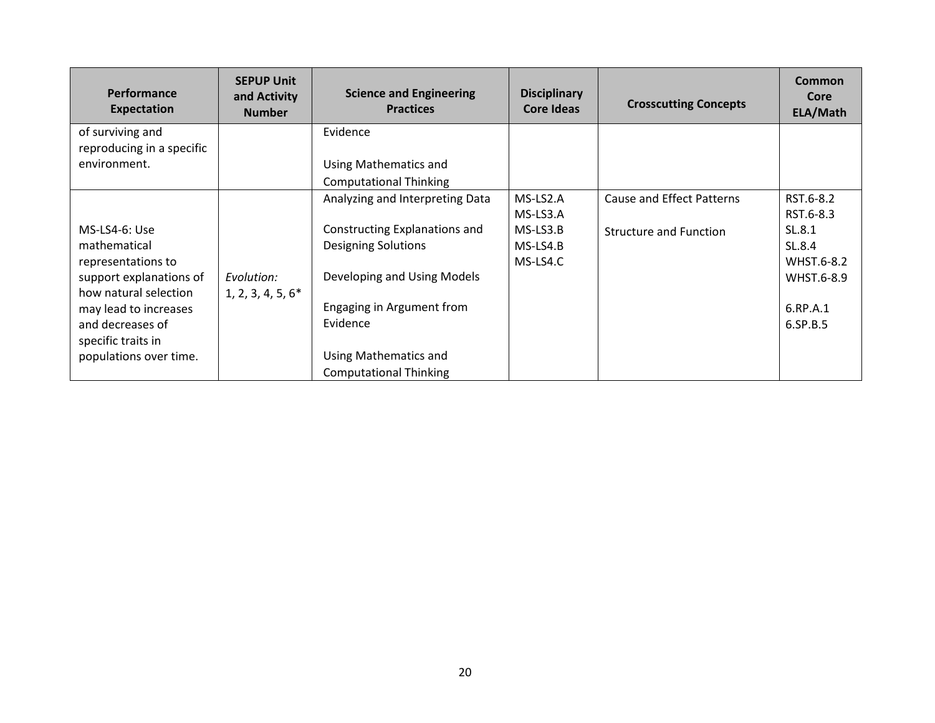| Performance<br><b>Expectation</b> | <b>SEPUP Unit</b><br>and Activity<br><b>Number</b> | <b>Science and Engineering</b><br><b>Practices</b> | <b>Disciplinary</b><br><b>Core Ideas</b> | <b>Crosscutting Concepts</b>  | <b>Common</b><br>Core<br>ELA/Math |
|-----------------------------------|----------------------------------------------------|----------------------------------------------------|------------------------------------------|-------------------------------|-----------------------------------|
| of surviving and                  |                                                    | Evidence                                           |                                          |                               |                                   |
| reproducing in a specific         |                                                    |                                                    |                                          |                               |                                   |
| environment.                      |                                                    | Using Mathematics and                              |                                          |                               |                                   |
|                                   |                                                    | <b>Computational Thinking</b>                      |                                          |                               |                                   |
|                                   |                                                    | Analyzing and Interpreting Data                    | MS-LS2.A                                 | Cause and Effect Patterns     | RST.6-8.2                         |
|                                   |                                                    |                                                    | MS-LS3.A                                 |                               | RST.6-8.3                         |
| MS-LS4-6: Use                     |                                                    | Constructing Explanations and                      | $MS-LS3.B$                               | <b>Structure and Function</b> | SL.8.1                            |
| mathematical                      |                                                    | <b>Designing Solutions</b>                         | MS-LS4.B                                 |                               | SL.8.4                            |
| representations to                |                                                    |                                                    | MS-LS4.C                                 |                               | WHST.6-8.2                        |
| support explanations of           | Evolution:                                         | Developing and Using Models                        |                                          |                               | WHST.6-8.9                        |
| how natural selection             | $1, 2, 3, 4, 5, 6*$                                |                                                    |                                          |                               |                                   |
| may lead to increases             |                                                    | Engaging in Argument from                          |                                          |                               | 6.RP.A.1                          |
| and decreases of                  |                                                    | Evidence                                           |                                          |                               | 6.SP.B.5                          |
| specific traits in                |                                                    |                                                    |                                          |                               |                                   |
| populations over time.            |                                                    | Using Mathematics and                              |                                          |                               |                                   |
|                                   |                                                    | <b>Computational Thinking</b>                      |                                          |                               |                                   |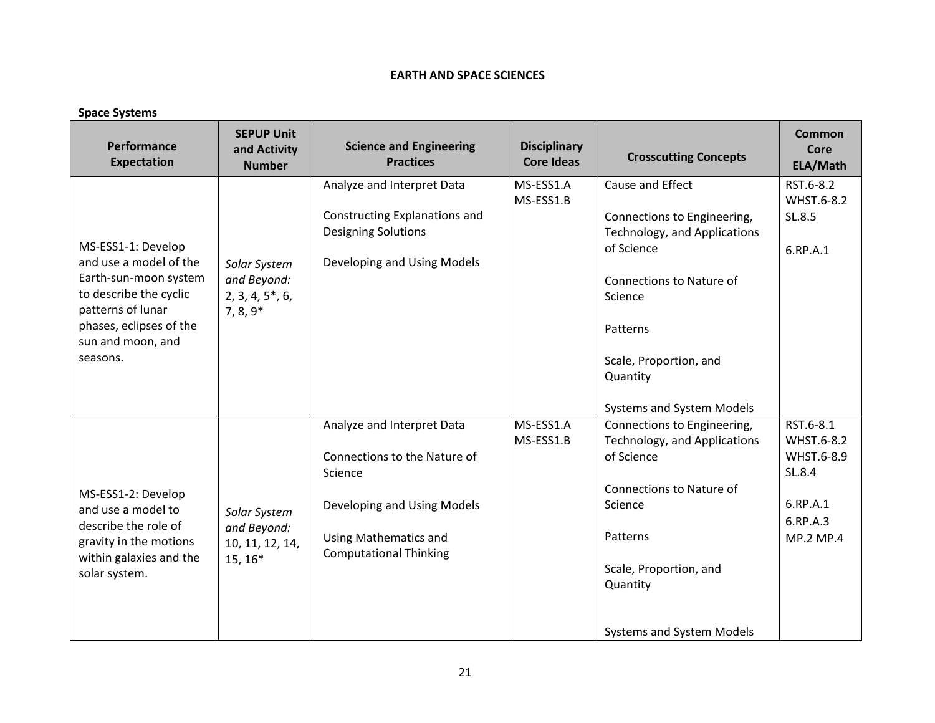## **EARTH AND SPACE SCIENCES**

| <b>Space Systems</b>                                                                                                                                                             |                                                             |                                                                                                                                                                       |                                          |                                                                                                                                                                                                                     |                                                                                      |  |
|----------------------------------------------------------------------------------------------------------------------------------------------------------------------------------|-------------------------------------------------------------|-----------------------------------------------------------------------------------------------------------------------------------------------------------------------|------------------------------------------|---------------------------------------------------------------------------------------------------------------------------------------------------------------------------------------------------------------------|--------------------------------------------------------------------------------------|--|
| Performance<br><b>Expectation</b>                                                                                                                                                | <b>SEPUP Unit</b><br>and Activity<br><b>Number</b>          | <b>Science and Engineering</b><br><b>Practices</b>                                                                                                                    | <b>Disciplinary</b><br><b>Core Ideas</b> | <b>Crosscutting Concepts</b>                                                                                                                                                                                        | <b>Common</b><br>Core<br>ELA/Math                                                    |  |
| MS-ESS1-1: Develop<br>and use a model of the<br>Earth-sun-moon system<br>to describe the cyclic<br>patterns of lunar<br>phases, eclipses of the<br>sun and moon, and<br>seasons. | Solar System<br>and Beyond:<br>2, 3, 4, 5, 6,<br>$7, 8, 9*$ | Analyze and Interpret Data<br>Constructing Explanations and<br><b>Designing Solutions</b><br>Developing and Using Models                                              | MS-ESS1.A<br>MS-ESS1.B                   | Cause and Effect<br>Connections to Engineering,<br>Technology, and Applications<br>of Science<br>Connections to Nature of<br>Science<br>Patterns<br>Scale, Proportion, and<br>Quantity<br>Systems and System Models | RST.6-8.2<br>WHST.6-8.2<br>SL.8.5<br>6.RP.A.1                                        |  |
| MS-ESS1-2: Develop<br>and use a model to<br>describe the role of<br>gravity in the motions<br>within galaxies and the<br>solar system.                                           | Solar System<br>and Beyond:<br>10, 11, 12, 14,<br>$15, 16*$ | Analyze and Interpret Data<br>Connections to the Nature of<br>Science<br>Developing and Using Models<br><b>Using Mathematics and</b><br><b>Computational Thinking</b> | MS-ESS1.A<br>MS-ESS1.B                   | Connections to Engineering,<br>Technology, and Applications<br>of Science<br>Connections to Nature of<br>Science<br>Patterns<br>Scale, Proportion, and<br>Quantity<br>Systems and System Models                     | RST.6-8.1<br>WHST.6-8.2<br>WHST.6-8.9<br>SL.8.4<br>6.RP.A.1<br>6.RP.A.3<br>MP.2 MP.4 |  |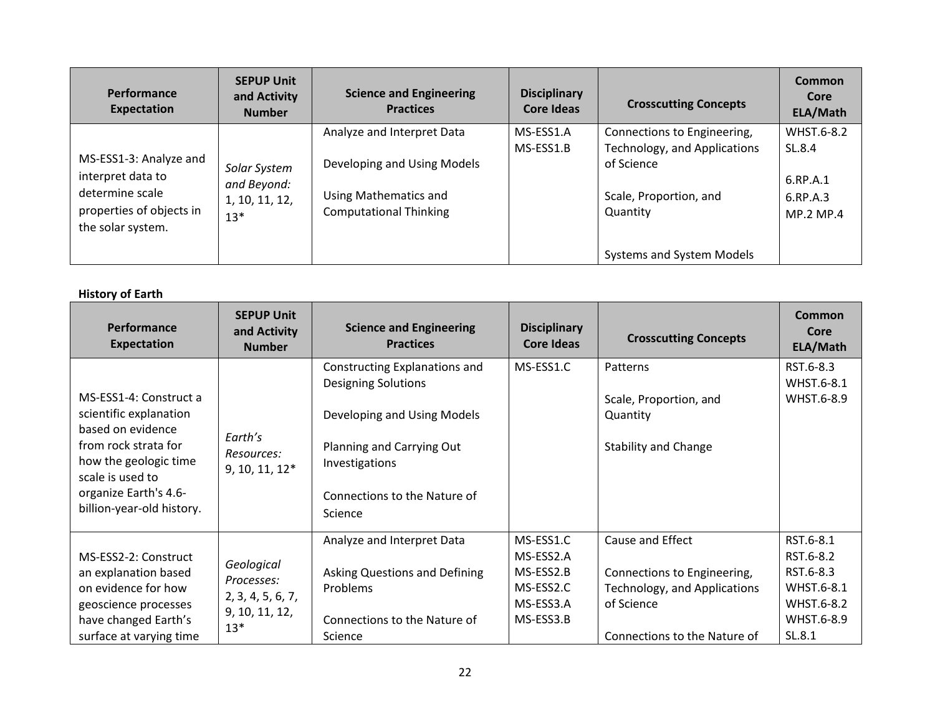| <b>Performance</b><br>Expectation                                                                               | <b>SEPUP Unit</b><br>and Activity<br><b>Number</b>     | <b>Science and Engineering</b><br><b>Practices</b>                                                                  | <b>Disciplinary</b><br>Core Ideas | <b>Crosscutting Concepts</b>                                                                                    | Common<br>Core<br>ELA/Math                                       |
|-----------------------------------------------------------------------------------------------------------------|--------------------------------------------------------|---------------------------------------------------------------------------------------------------------------------|-----------------------------------|-----------------------------------------------------------------------------------------------------------------|------------------------------------------------------------------|
| MS-ESS1-3: Analyze and<br>interpret data to<br>determine scale<br>properties of objects in<br>the solar system. | Solar System<br>and Beyond:<br>1, 10, 11, 12,<br>$13*$ | Analyze and Interpret Data<br>Developing and Using Models<br>Using Mathematics and<br><b>Computational Thinking</b> | MS-ESS1.A<br>MS-ESS1.B            | Connections to Engineering,<br>Technology, and Applications<br>of Science<br>Scale, Proportion, and<br>Quantity | WHST.6-8.2<br>SL.8.4<br>6.RP.A.1<br>6.RP.A.3<br><b>MP.2 MP.4</b> |
|                                                                                                                 |                                                        |                                                                                                                     |                                   | Systems and System Models                                                                                       |                                                                  |

## **History of Earth**

| Performance<br><b>Expectation</b>                                                                                                                                                                | <b>SEPUP Unit</b><br>and Activity<br><b>Number</b>                       | <b>Science and Engineering</b><br><b>Practices</b>                                                                                                                                   | <b>Disciplinary</b><br><b>Core Ideas</b>                                   | <b>Crosscutting Concepts</b>                                                                                                  | <b>Common</b><br>Core<br>ELA/Math                                                       |
|--------------------------------------------------------------------------------------------------------------------------------------------------------------------------------------------------|--------------------------------------------------------------------------|--------------------------------------------------------------------------------------------------------------------------------------------------------------------------------------|----------------------------------------------------------------------------|-------------------------------------------------------------------------------------------------------------------------------|-----------------------------------------------------------------------------------------|
| MS-ESS1-4: Construct a<br>scientific explanation<br>based on evidence<br>from rock strata for<br>how the geologic time<br>scale is used to<br>organize Earth's 4.6-<br>billion-year-old history. | Earth's<br>Resources:<br>9, 10, 11, 12*                                  | Constructing Explanations and<br><b>Designing Solutions</b><br>Developing and Using Models<br>Planning and Carrying Out<br>Investigations<br>Connections to the Nature of<br>Science | MS-ESS1.C                                                                  | Patterns<br>Scale, Proportion, and<br>Quantity<br><b>Stability and Change</b>                                                 | RST.6-8.3<br>WHST.6-8.1<br>WHST.6-8.9                                                   |
| MS-ESS2-2: Construct<br>an explanation based<br>on evidence for how<br>geoscience processes<br>have changed Earth's<br>surface at varying time                                                   | Geological<br>Processes:<br>2, 3, 4, 5, 6, 7,<br>9, 10, 11, 12,<br>$13*$ | Analyze and Interpret Data<br><b>Asking Questions and Defining</b><br>Problems<br>Connections to the Nature of<br>Science                                                            | MS-ESS1.C<br>MS-ESS2.A<br>MS-ESS2.B<br>MS-ESS2.C<br>MS-ESS3.A<br>MS-ESS3.B | Cause and Effect<br>Connections to Engineering,<br>Technology, and Applications<br>of Science<br>Connections to the Nature of | RST.6-8.1<br>RST.6-8.2<br>RST.6-8.3<br>WHST.6-8.1<br>WHST.6-8.2<br>WHST.6-8.9<br>SL.8.1 |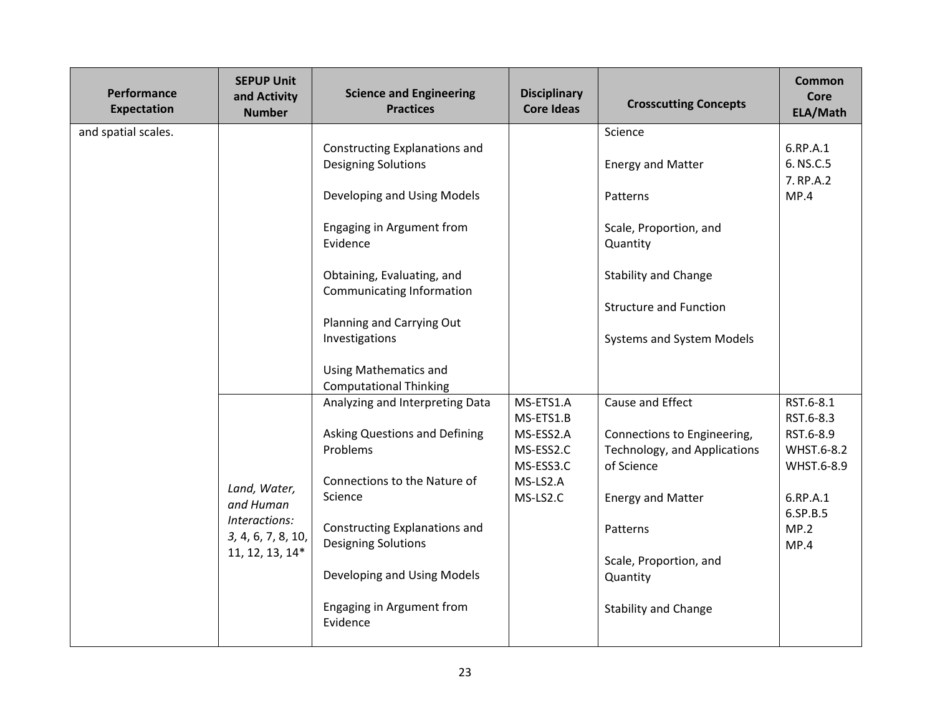| Performance<br><b>Expectation</b> | <b>SEPUP Unit</b><br>and Activity<br><b>Number</b>                                  | <b>Science and Engineering</b><br><b>Practices</b>                                                                                                                                                                                                                                                             | <b>Disciplinary</b><br><b>Core Ideas</b>                                              | <b>Crosscutting Concepts</b>                                                                                                                                                                               | Common<br>Core<br>ELA/Math                                                                              |
|-----------------------------------|-------------------------------------------------------------------------------------|----------------------------------------------------------------------------------------------------------------------------------------------------------------------------------------------------------------------------------------------------------------------------------------------------------------|---------------------------------------------------------------------------------------|------------------------------------------------------------------------------------------------------------------------------------------------------------------------------------------------------------|---------------------------------------------------------------------------------------------------------|
| and spatial scales.               |                                                                                     | Constructing Explanations and<br><b>Designing Solutions</b><br>Developing and Using Models<br>Engaging in Argument from<br>Evidence<br>Obtaining, Evaluating, and<br>Communicating Information<br>Planning and Carrying Out<br>Investigations<br><b>Using Mathematics and</b><br><b>Computational Thinking</b> |                                                                                       | Science<br><b>Energy and Matter</b><br>Patterns<br>Scale, Proportion, and<br>Quantity<br><b>Stability and Change</b><br><b>Structure and Function</b><br>Systems and System Models                         | 6.RP.A.1<br>6. NS.C.5<br>7. RP.A.2<br>MP.4                                                              |
|                                   | Land, Water,<br>and Human<br>Interactions:<br>3, 4, 6, 7, 8, 10,<br>11, 12, 13, 14* | Analyzing and Interpreting Data<br><b>Asking Questions and Defining</b><br>Problems<br>Connections to the Nature of<br>Science<br>Constructing Explanations and<br><b>Designing Solutions</b><br>Developing and Using Models<br>Engaging in Argument from<br>Evidence                                          | MS-ETS1.A<br>MS-ETS1.B<br>MS-ESS2.A<br>MS-ESS2.C<br>MS-ESS3.C<br>MS-LS2.A<br>MS-LS2.C | Cause and Effect<br>Connections to Engineering,<br>Technology, and Applications<br>of Science<br><b>Energy and Matter</b><br>Patterns<br>Scale, Proportion, and<br>Quantity<br><b>Stability and Change</b> | RST.6-8.1<br>RST.6-8.3<br>RST.6-8.9<br>WHST.6-8.2<br>WHST.6-8.9<br>6.RP.A.1<br>6.SP.B.5<br>MP.2<br>MP.4 |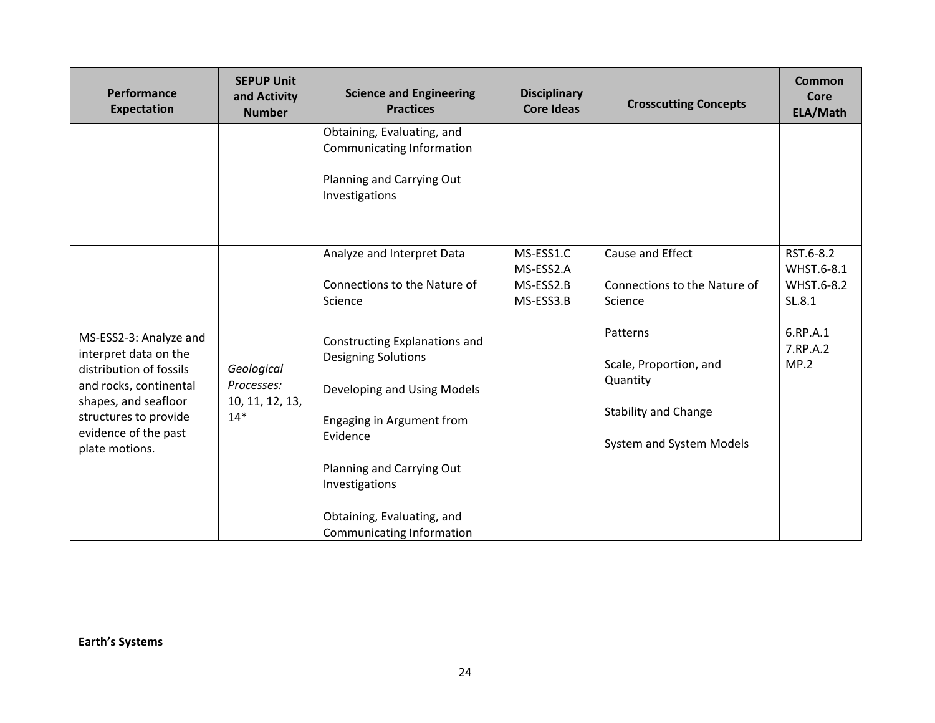| Performance<br><b>Expectation</b>                                                                                                                                                               | <b>SEPUP Unit</b><br>and Activity<br><b>Number</b>   | <b>Science and Engineering</b><br><b>Practices</b>                                                                                                                                                                                                          | <b>Disciplinary</b><br><b>Core Ideas</b>         | <b>Crosscutting Concepts</b>                                                                                                                                             | <b>Common</b><br>Core<br>ELA/Math                                               |
|-------------------------------------------------------------------------------------------------------------------------------------------------------------------------------------------------|------------------------------------------------------|-------------------------------------------------------------------------------------------------------------------------------------------------------------------------------------------------------------------------------------------------------------|--------------------------------------------------|--------------------------------------------------------------------------------------------------------------------------------------------------------------------------|---------------------------------------------------------------------------------|
|                                                                                                                                                                                                 |                                                      | Obtaining, Evaluating, and<br>Communicating Information<br>Planning and Carrying Out<br>Investigations                                                                                                                                                      |                                                  |                                                                                                                                                                          |                                                                                 |
| MS-ESS2-3: Analyze and<br>interpret data on the<br>distribution of fossils<br>and rocks, continental<br>shapes, and seafloor<br>structures to provide<br>evidence of the past<br>plate motions. | Geological<br>Processes:<br>10, 11, 12, 13,<br>$14*$ | Analyze and Interpret Data<br>Connections to the Nature of<br>Science<br>Constructing Explanations and<br><b>Designing Solutions</b><br>Developing and Using Models<br>Engaging in Argument from<br>Evidence<br>Planning and Carrying Out<br>Investigations | MS-ESS1.C<br>MS-ESS2.A<br>MS-ESS2.B<br>MS-ESS3.B | Cause and Effect<br>Connections to the Nature of<br>Science<br>Patterns<br>Scale, Proportion, and<br>Quantity<br><b>Stability and Change</b><br>System and System Models | RST.6-8.2<br>WHST.6-8.1<br>WHST.6-8.2<br>SL.8.1<br>6.RP.A.1<br>7.RP.A.2<br>MP.2 |
|                                                                                                                                                                                                 |                                                      | Obtaining, Evaluating, and<br><b>Communicating Information</b>                                                                                                                                                                                              |                                                  |                                                                                                                                                                          |                                                                                 |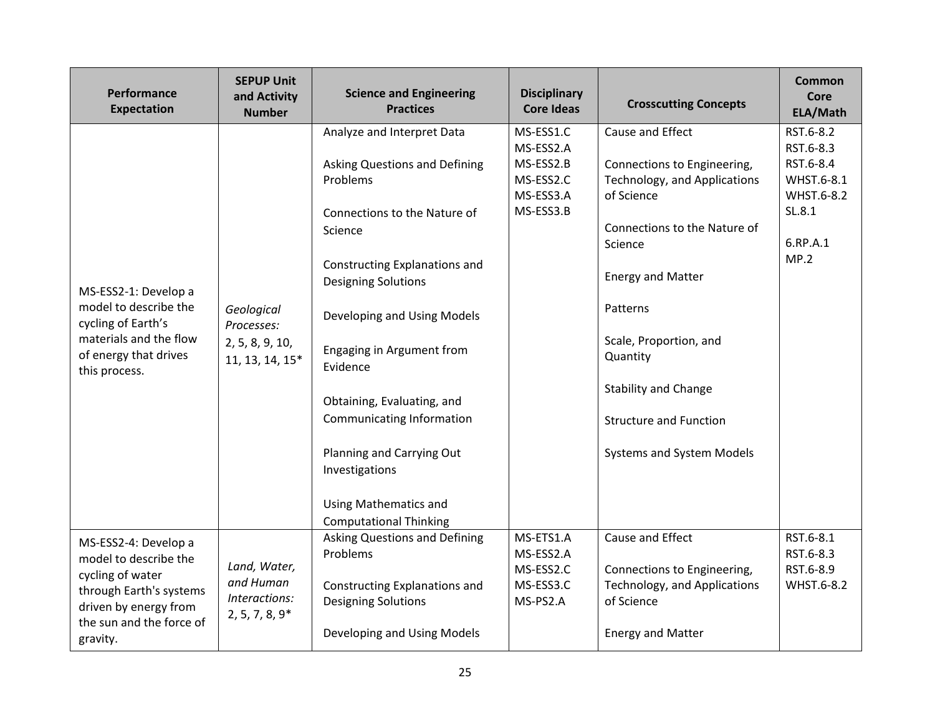| Performance<br><b>Expectation</b>                                                                                                                             | <b>SEPUP Unit</b><br>and Activity<br><b>Number</b>             | <b>Science and Engineering</b><br><b>Practices</b>                                                                                                                                                                                                                                                                                                                                                                                          | <b>Disciplinary</b><br><b>Core Ideas</b>                                   | <b>Crosscutting Concepts</b>                                                                                                                                                                                                                                                                                        | Common<br>Core<br>ELA/Math                                                                    |
|---------------------------------------------------------------------------------------------------------------------------------------------------------------|----------------------------------------------------------------|---------------------------------------------------------------------------------------------------------------------------------------------------------------------------------------------------------------------------------------------------------------------------------------------------------------------------------------------------------------------------------------------------------------------------------------------|----------------------------------------------------------------------------|---------------------------------------------------------------------------------------------------------------------------------------------------------------------------------------------------------------------------------------------------------------------------------------------------------------------|-----------------------------------------------------------------------------------------------|
| MS-ESS2-1: Develop a<br>model to describe the<br>cycling of Earth's<br>materials and the flow<br>of energy that drives<br>this process.                       | Geological<br>Processes:<br>2, 5, 8, 9, 10,<br>11, 13, 14, 15* | Analyze and Interpret Data<br><b>Asking Questions and Defining</b><br>Problems<br>Connections to the Nature of<br>Science<br>Constructing Explanations and<br><b>Designing Solutions</b><br>Developing and Using Models<br>Engaging in Argument from<br>Evidence<br>Obtaining, Evaluating, and<br>Communicating Information<br>Planning and Carrying Out<br>Investigations<br><b>Using Mathematics and</b><br><b>Computational Thinking</b> | MS-ESS1.C<br>MS-ESS2.A<br>MS-ESS2.B<br>MS-ESS2.C<br>MS-ESS3.A<br>MS-ESS3.B | Cause and Effect<br>Connections to Engineering,<br>Technology, and Applications<br>of Science<br>Connections to the Nature of<br>Science<br><b>Energy and Matter</b><br>Patterns<br>Scale, Proportion, and<br>Quantity<br><b>Stability and Change</b><br><b>Structure and Function</b><br>Systems and System Models | RST.6-8.2<br>RST.6-8.3<br>RST.6-8.4<br>WHST.6-8.1<br>WHST.6-8.2<br>SL.8.1<br>6.RP.A.1<br>MP.2 |
| MS-ESS2-4: Develop a<br>model to describe the<br>cycling of water<br>through Earth's systems<br>driven by energy from<br>the sun and the force of<br>gravity. | Land, Water,<br>and Human<br>Interactions:<br>$2, 5, 7, 8, 9*$ | Asking Questions and Defining<br>Problems<br>Constructing Explanations and<br><b>Designing Solutions</b><br>Developing and Using Models                                                                                                                                                                                                                                                                                                     | MS-ETS1.A<br>MS-ESS2.A<br>MS-ESS2.C<br>MS-ESS3.C<br>MS-PS2.A               | Cause and Effect<br>Connections to Engineering,<br>Technology, and Applications<br>of Science<br><b>Energy and Matter</b>                                                                                                                                                                                           | RST.6-8.1<br>RST.6-8.3<br>RST.6-8.9<br>WHST.6-8.2                                             |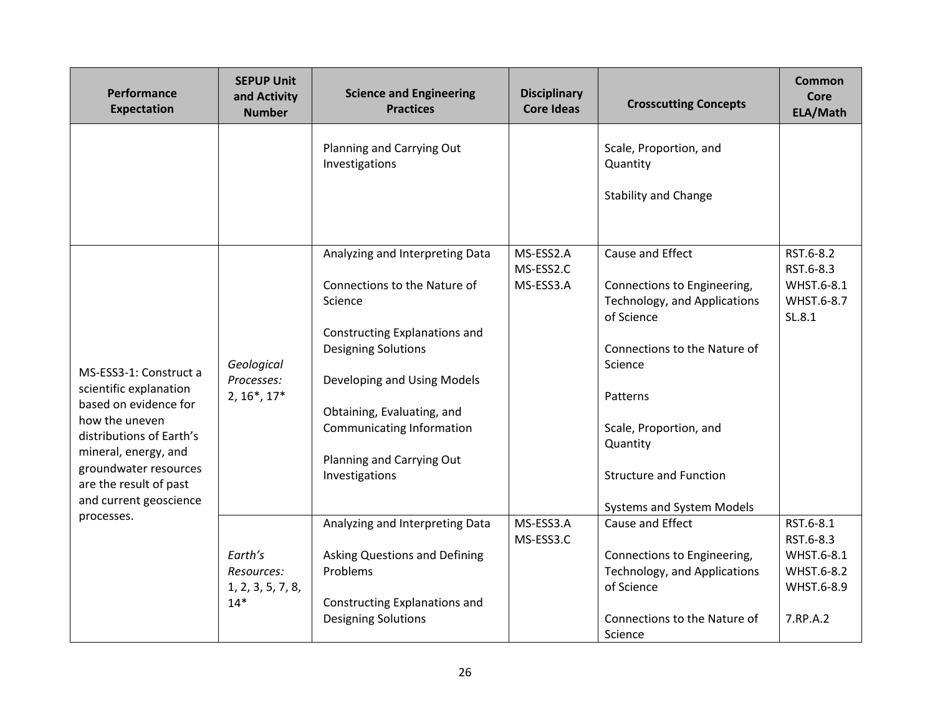| Performance<br><b>Expectation</b>                                                                                                                                                                                            | <b>SEPUP Unit</b><br>and Activity<br><b>Number</b>  | <b>Science and Engineering</b><br><b>Practices</b>                                                                                                                                                                                                                                 | <b>Disciplinary</b><br><b>Core Ideas</b> | <b>Crosscutting Concepts</b>                                                                                                                                                                                                                                    | Common<br>Core<br>ELA/Math                                                   |
|------------------------------------------------------------------------------------------------------------------------------------------------------------------------------------------------------------------------------|-----------------------------------------------------|------------------------------------------------------------------------------------------------------------------------------------------------------------------------------------------------------------------------------------------------------------------------------------|------------------------------------------|-----------------------------------------------------------------------------------------------------------------------------------------------------------------------------------------------------------------------------------------------------------------|------------------------------------------------------------------------------|
|                                                                                                                                                                                                                              |                                                     | Planning and Carrying Out<br>Investigations                                                                                                                                                                                                                                        |                                          | Scale, Proportion, and<br>Quantity<br><b>Stability and Change</b>                                                                                                                                                                                               |                                                                              |
| MS-ESS3-1: Construct a<br>scientific explanation<br>based on evidence for<br>how the uneven<br>distributions of Earth's<br>mineral, energy, and<br>groundwater resources<br>are the result of past<br>and current geoscience | Geological<br>Processes:<br>$2, 16^*, 17^*$         | Analyzing and Interpreting Data<br>Connections to the Nature of<br>Science<br>Constructing Explanations and<br><b>Designing Solutions</b><br>Developing and Using Models<br>Obtaining, Evaluating, and<br>Communicating Information<br>Planning and Carrying Out<br>Investigations | MS-ESS2.A<br>MS-ESS2.C<br>MS-ESS3.A      | Cause and Effect<br>Connections to Engineering,<br>Technology, and Applications<br>of Science<br>Connections to the Nature of<br>Science<br>Patterns<br>Scale, Proportion, and<br>Quantity<br><b>Structure and Function</b><br><b>Systems and System Models</b> | RST.6-8.2<br>RST.6-8.3<br>WHST.6-8.1<br>WHST.6-8.7<br>SL.8.1                 |
| processes.                                                                                                                                                                                                                   | Earth's<br>Resources:<br>1, 2, 3, 5, 7, 8,<br>$14*$ | Analyzing and Interpreting Data<br>Asking Questions and Defining<br>Problems<br>Constructing Explanations and<br><b>Designing Solutions</b>                                                                                                                                        | MS-ESS3.A<br>MS-ESS3.C                   | Cause and Effect<br>Connections to Engineering,<br>Technology, and Applications<br>of Science<br>Connections to the Nature of<br>Science                                                                                                                        | RST.6-8.1<br>RST.6-8.3<br>WHST.6-8.1<br>WHST.6-8.2<br>WHST.6-8.9<br>7.RP.A.2 |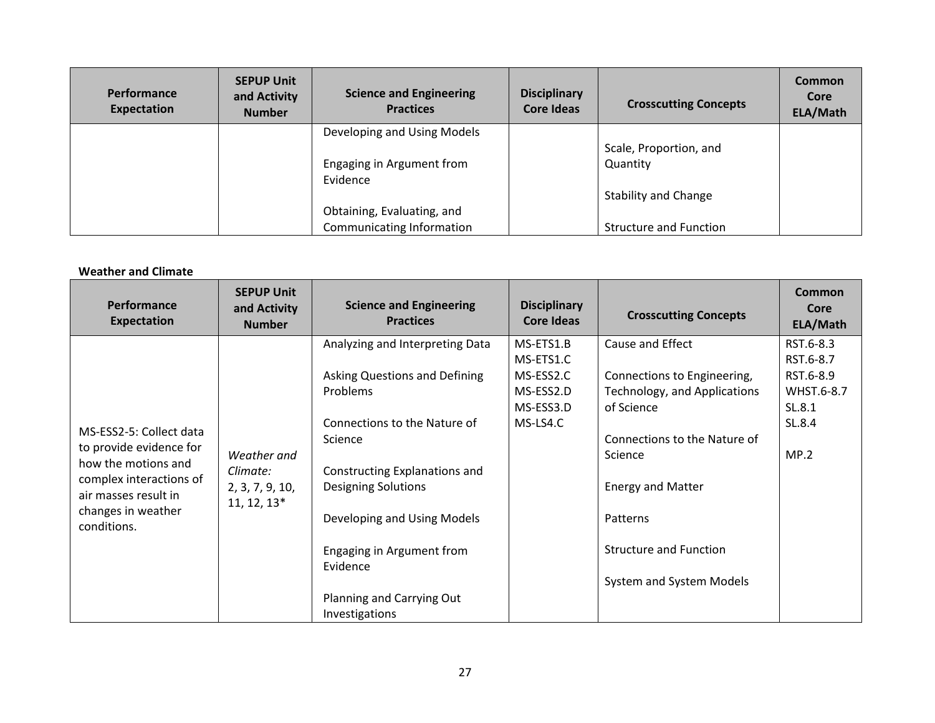| <b>Performance</b><br>Expectation | <b>SEPUP Unit</b><br>and Activity<br><b>Number</b> | <b>Science and Engineering</b><br><b>Practices</b> | <b>Disciplinary</b><br>Core Ideas | <b>Crosscutting Concepts</b>  | Common<br>Core<br>ELA/Math |
|-----------------------------------|----------------------------------------------------|----------------------------------------------------|-----------------------------------|-------------------------------|----------------------------|
|                                   |                                                    | Developing and Using Models                        |                                   |                               |                            |
|                                   |                                                    |                                                    |                                   | Scale, Proportion, and        |                            |
|                                   |                                                    | Engaging in Argument from<br>Evidence              |                                   | Quantity                      |                            |
|                                   |                                                    |                                                    |                                   | <b>Stability and Change</b>   |                            |
|                                   |                                                    | Obtaining, Evaluating, and                         |                                   |                               |                            |
|                                   |                                                    | Communicating Information                          |                                   | <b>Structure and Function</b> |                            |

## **Weather and Climate**

| Performance<br><b>Expectation</b>                                                                                                                                 | <b>SEPUP Unit</b><br>and Activity<br><b>Number</b>          | <b>Science and Engineering</b><br><b>Practices</b>                                                                                                                                                                                                                                                                   | <b>Disciplinary</b><br>Core Ideas                                         | <b>Crosscutting Concepts</b>                                                                                                                                                                                                                  | Common<br>Core<br>ELA/Math                                                    |
|-------------------------------------------------------------------------------------------------------------------------------------------------------------------|-------------------------------------------------------------|----------------------------------------------------------------------------------------------------------------------------------------------------------------------------------------------------------------------------------------------------------------------------------------------------------------------|---------------------------------------------------------------------------|-----------------------------------------------------------------------------------------------------------------------------------------------------------------------------------------------------------------------------------------------|-------------------------------------------------------------------------------|
| MS-ESS2-5: Collect data<br>to provide evidence for<br>how the motions and<br>complex interactions of<br>air masses result in<br>changes in weather<br>conditions. | Weather and<br>Climate:<br>2, 3, 7, 9, 10,<br>$11, 12, 13*$ | Analyzing and Interpreting Data<br>Asking Questions and Defining<br><b>Problems</b><br>Connections to the Nature of<br>Science<br>Constructing Explanations and<br><b>Designing Solutions</b><br>Developing and Using Models<br>Engaging in Argument from<br>Evidence<br>Planning and Carrying Out<br>Investigations | MS-ETS1.B<br>MS-ETS1.C<br>MS-ESS2.C<br>MS-ESS2.D<br>MS-ESS3.D<br>MS-LS4.C | Cause and Effect<br>Connections to Engineering,<br>Technology, and Applications<br>of Science<br>Connections to the Nature of<br>Science<br><b>Energy and Matter</b><br>Patterns<br><b>Structure and Function</b><br>System and System Models | RST.6-8.3<br>RST.6-8.7<br>RST.6-8.9<br>WHST.6-8.7<br>SL.8.1<br>SL.8.4<br>MP.2 |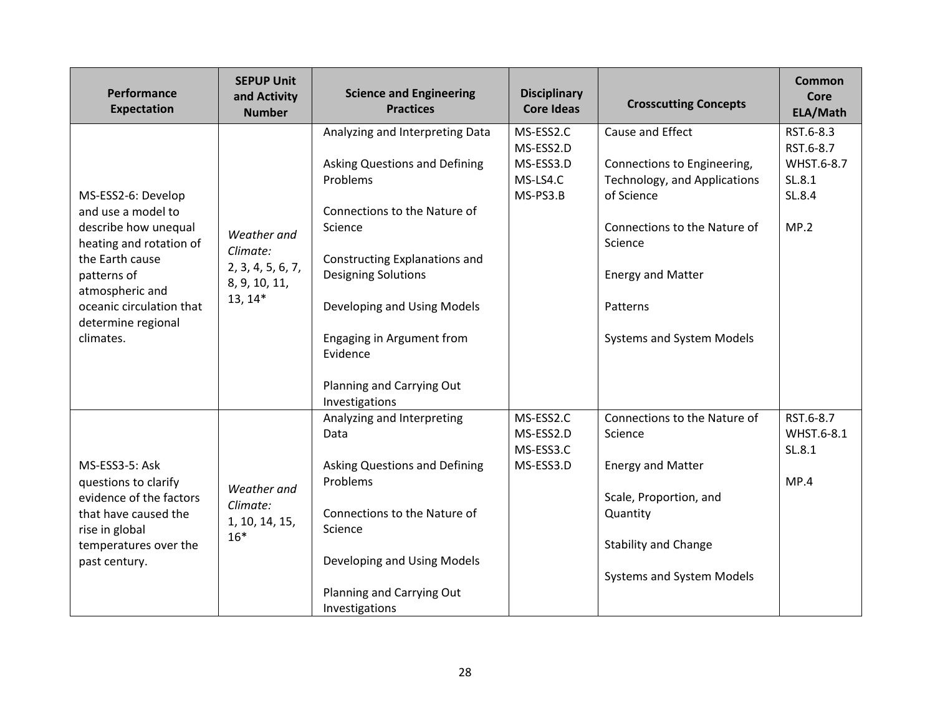| Performance<br><b>Expectation</b>                                                                                                                                                                               | <b>SEPUP Unit</b><br>and Activity<br><b>Number</b>                         | <b>Science and Engineering</b><br><b>Practices</b>                                                                                                                                                                                                                                                            | <b>Disciplinary</b><br><b>Core Ideas</b>                    | <b>Crosscutting Concepts</b>                                                                                                                                                                                  | Common<br>Core<br>ELA/Math                                       |
|-----------------------------------------------------------------------------------------------------------------------------------------------------------------------------------------------------------------|----------------------------------------------------------------------------|---------------------------------------------------------------------------------------------------------------------------------------------------------------------------------------------------------------------------------------------------------------------------------------------------------------|-------------------------------------------------------------|---------------------------------------------------------------------------------------------------------------------------------------------------------------------------------------------------------------|------------------------------------------------------------------|
| MS-ESS2-6: Develop<br>and use a model to<br>describe how unequal<br>heating and rotation of<br>the Earth cause<br>patterns of<br>atmospheric and<br>oceanic circulation that<br>determine regional<br>climates. | Weather and<br>Climate:<br>2, 3, 4, 5, 6, 7,<br>8, 9, 10, 11,<br>$13, 14*$ | Analyzing and Interpreting Data<br>Asking Questions and Defining<br>Problems<br>Connections to the Nature of<br>Science<br>Constructing Explanations and<br><b>Designing Solutions</b><br>Developing and Using Models<br>Engaging in Argument from<br>Evidence<br>Planning and Carrying Out<br>Investigations | MS-ESS2.C<br>MS-ESS2.D<br>MS-ESS3.D<br>MS-LS4.C<br>MS-PS3.B | Cause and Effect<br>Connections to Engineering,<br>Technology, and Applications<br>of Science<br>Connections to the Nature of<br>Science<br><b>Energy and Matter</b><br>Patterns<br>Systems and System Models | RST.6-8.3<br>RST.6-8.7<br>WHST.6-8.7<br>SL.8.1<br>SL.8.4<br>MP.2 |
| MS-ESS3-5: Ask<br>questions to clarify<br>evidence of the factors<br>that have caused the<br>rise in global<br>temperatures over the<br>past century.                                                           | Weather and<br>Climate:<br>1, 10, 14, 15,<br>$16*$                         | Analyzing and Interpreting<br>Data<br>Asking Questions and Defining<br>Problems<br>Connections to the Nature of<br>Science<br>Developing and Using Models<br>Planning and Carrying Out<br>Investigations                                                                                                      | MS-ESS2.C<br>MS-ESS2.D<br>MS-ESS3.C<br>MS-ESS3.D            | Connections to the Nature of<br>Science<br><b>Energy and Matter</b><br>Scale, Proportion, and<br>Quantity<br><b>Stability and Change</b><br>Systems and System Models                                         | RST.6-8.7<br>WHST.6-8.1<br>SL.8.1<br>MP.4                        |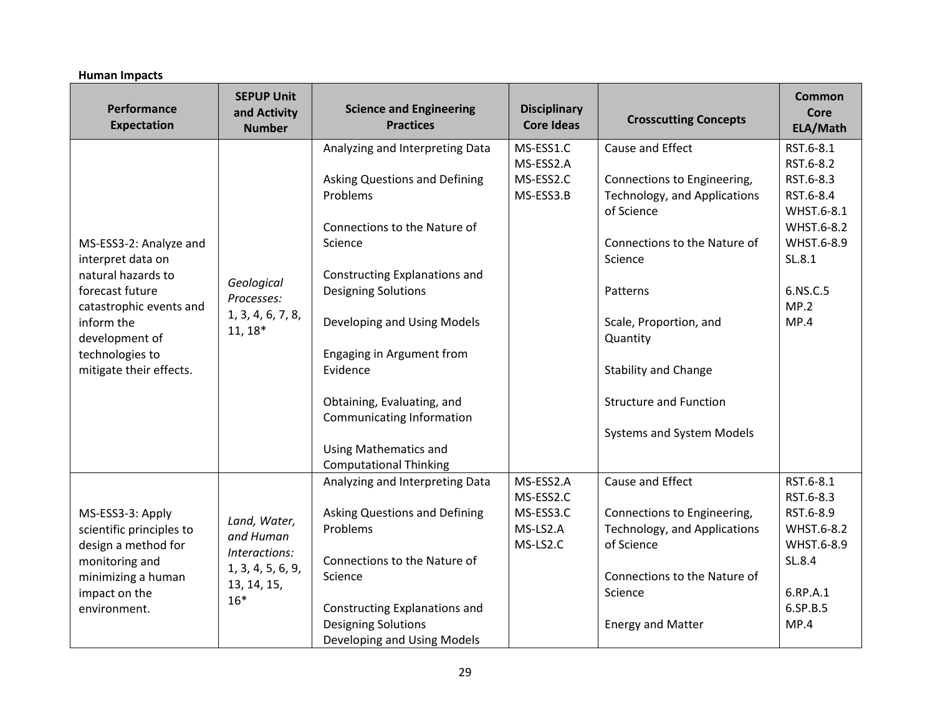| Performance<br><b>Expectation</b>                                                                                                                                                             | <b>SEPUP Unit</b><br>and Activity<br><b>Number</b>                                      | <b>Science and Engineering</b><br><b>Practices</b>                                                                                                                                                                                                                                                                                                               | <b>Disciplinary</b><br><b>Core Ideas</b>                    | <b>Crosscutting Concepts</b>                                                                                                                                                                                                                                                            | <b>Common</b><br>Core<br>ELA/Math                                                                                                |
|-----------------------------------------------------------------------------------------------------------------------------------------------------------------------------------------------|-----------------------------------------------------------------------------------------|------------------------------------------------------------------------------------------------------------------------------------------------------------------------------------------------------------------------------------------------------------------------------------------------------------------------------------------------------------------|-------------------------------------------------------------|-----------------------------------------------------------------------------------------------------------------------------------------------------------------------------------------------------------------------------------------------------------------------------------------|----------------------------------------------------------------------------------------------------------------------------------|
| MS-ESS3-2: Analyze and<br>interpret data on<br>natural hazards to<br>forecast future<br>catastrophic events and<br>inform the<br>development of<br>technologies to<br>mitigate their effects. | Geological<br>Processes:<br>1, 3, 4, 6, 7, 8,<br>$11, 18*$                              | Analyzing and Interpreting Data<br><b>Asking Questions and Defining</b><br>Problems<br>Connections to the Nature of<br>Science<br>Constructing Explanations and<br><b>Designing Solutions</b><br>Developing and Using Models<br>Engaging in Argument from<br>Evidence<br>Obtaining, Evaluating, and<br>Communicating Information<br><b>Using Mathematics and</b> | MS-ESS1.C<br>MS-ESS2.A<br>MS-ESS2.C<br>MS-ESS3.B            | Cause and Effect<br>Connections to Engineering,<br>Technology, and Applications<br>of Science<br>Connections to the Nature of<br>Science<br>Patterns<br>Scale, Proportion, and<br>Quantity<br><b>Stability and Change</b><br><b>Structure and Function</b><br>Systems and System Models | RST.6-8.1<br>RST.6-8.2<br>RST.6-8.3<br>RST.6-8.4<br>WHST.6-8.1<br>WHST.6-8.2<br>WHST.6-8.9<br>SL.8.1<br>6.NS.C.5<br>MP.2<br>MP.4 |
| MS-ESS3-3: Apply<br>scientific principles to<br>design a method for<br>monitoring and<br>minimizing a human<br>impact on the<br>environment.                                                  | Land, Water,<br>and Human<br>Interactions:<br>1, 3, 4, 5, 6, 9,<br>13, 14, 15,<br>$16*$ | <b>Computational Thinking</b><br>Analyzing and Interpreting Data<br><b>Asking Questions and Defining</b><br>Problems<br>Connections to the Nature of<br>Science<br><b>Constructing Explanations and</b><br><b>Designing Solutions</b><br>Developing and Using Models                                                                                             | MS-ESS2.A<br>MS-ESS2.C<br>MS-ESS3.C<br>MS-LS2.A<br>MS-LS2.C | Cause and Effect<br>Connections to Engineering,<br>Technology, and Applications<br>of Science<br>Connections to the Nature of<br>Science<br><b>Energy and Matter</b>                                                                                                                    | RST.6-8.1<br>RST.6-8.3<br>RST.6-8.9<br>WHST.6-8.2<br>WHST.6-8.9<br>SL.8.4<br>6.RP.A.1<br>6.SP.B.5<br>MP.4                        |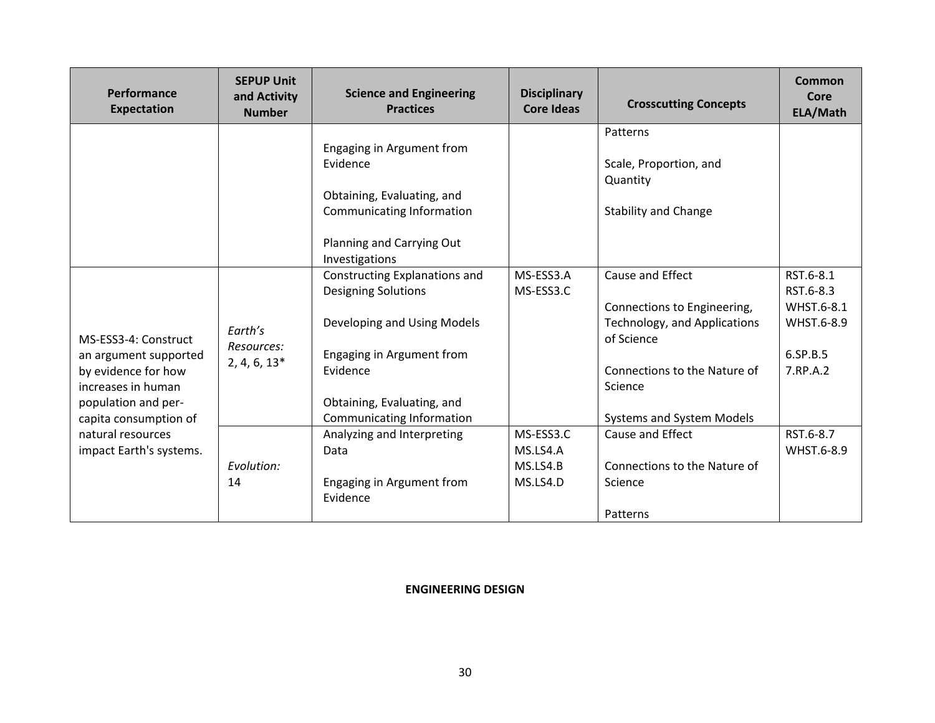| Performance<br><b>Expectation</b>            | <b>SEPUP Unit</b><br>and Activity<br><b>Number</b> | <b>Science and Engineering</b><br><b>Practices</b>          | <b>Disciplinary</b><br><b>Core Ideas</b> | <b>Crosscutting Concepts</b>                                              | <b>Common</b><br>Core<br>ELA/Math |
|----------------------------------------------|----------------------------------------------------|-------------------------------------------------------------|------------------------------------------|---------------------------------------------------------------------------|-----------------------------------|
|                                              |                                                    | Engaging in Argument from<br>Evidence                       |                                          | Patterns<br>Scale, Proportion, and                                        |                                   |
|                                              |                                                    |                                                             |                                          | Quantity                                                                  |                                   |
|                                              |                                                    | Obtaining, Evaluating, and<br>Communicating Information     |                                          | <b>Stability and Change</b>                                               |                                   |
|                                              |                                                    |                                                             |                                          |                                                                           |                                   |
|                                              |                                                    | Planning and Carrying Out<br>Investigations                 |                                          |                                                                           |                                   |
|                                              |                                                    | Constructing Explanations and<br><b>Designing Solutions</b> | MS-ESS3.A<br>MS-ESS3.C                   | Cause and Effect                                                          | RST.6-8.1<br>RST.6-8.3            |
| MS-ESS3-4: Construct                         | Earth's                                            | Developing and Using Models                                 |                                          | Connections to Engineering,<br>Technology, and Applications<br>of Science | WHST.6-8.1<br>WHST.6-8.9          |
| an argument supported                        | Resources:<br>$2, 4, 6, 13*$                       | Engaging in Argument from                                   |                                          |                                                                           | 6.SP.B.5                          |
| by evidence for how<br>increases in human    |                                                    | Evidence                                                    |                                          | Connections to the Nature of<br>Science                                   | 7.RP.A.2                          |
| population and per-<br>capita consumption of |                                                    | Obtaining, Evaluating, and                                  |                                          |                                                                           |                                   |
|                                              |                                                    | Communicating Information                                   |                                          | Systems and System Models                                                 |                                   |
| natural resources                            |                                                    | Analyzing and Interpreting                                  | MS-ESS3.C                                | Cause and Effect                                                          | RST.6-8.7                         |
| impact Earth's systems.                      |                                                    | Data                                                        | MS.LS4.A                                 |                                                                           | WHST.6-8.9                        |
|                                              | Evolution:                                         |                                                             | MS.LS4.B                                 | Connections to the Nature of                                              |                                   |
|                                              | 14                                                 | Engaging in Argument from<br>Evidence                       | MS.LS4.D                                 | Science                                                                   |                                   |
|                                              |                                                    |                                                             |                                          | Patterns                                                                  |                                   |

### **ENGINEERING DESIGN**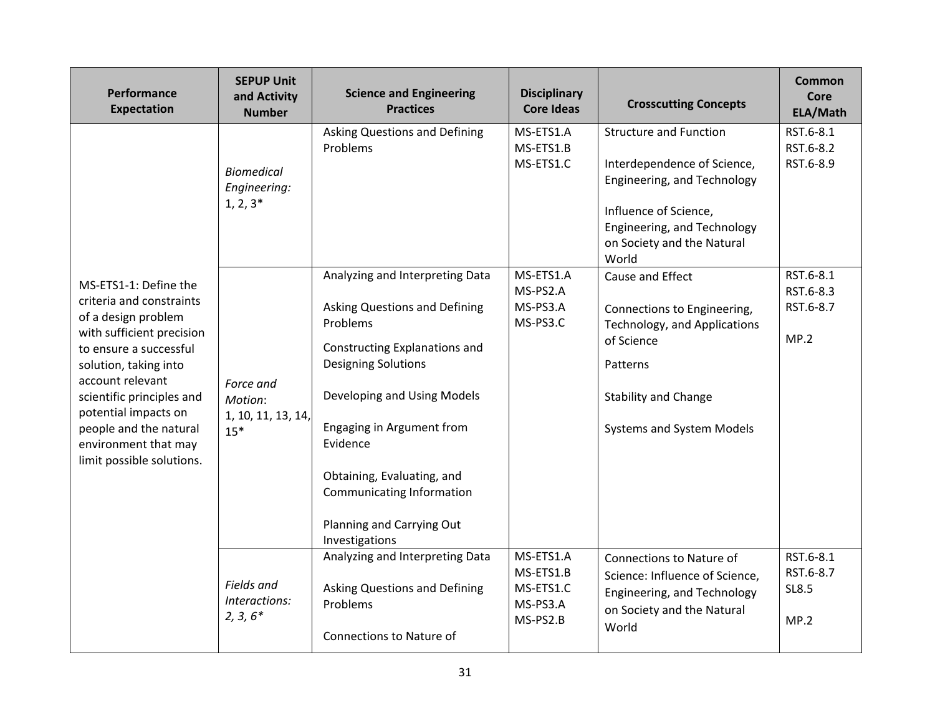| Performance<br><b>Expectation</b>                                                                                                                                                                                                                                                                                | <b>SEPUP Unit</b><br>and Activity<br><b>Number</b>  | <b>Science and Engineering</b><br><b>Practices</b>                                                                                                                                                                                                                                                                                   | <b>Disciplinary</b><br><b>Core Ideas</b>                    | <b>Crosscutting Concepts</b>                                                                                                                                                               | <b>Common</b><br>Core<br>ELA/Math              |
|------------------------------------------------------------------------------------------------------------------------------------------------------------------------------------------------------------------------------------------------------------------------------------------------------------------|-----------------------------------------------------|--------------------------------------------------------------------------------------------------------------------------------------------------------------------------------------------------------------------------------------------------------------------------------------------------------------------------------------|-------------------------------------------------------------|--------------------------------------------------------------------------------------------------------------------------------------------------------------------------------------------|------------------------------------------------|
|                                                                                                                                                                                                                                                                                                                  | <b>Biomedical</b><br>Engineering:<br>$1, 2, 3^*$    | <b>Asking Questions and Defining</b><br>Problems                                                                                                                                                                                                                                                                                     | MS-ETS1.A<br>MS-ETS1.B<br>MS-ETS1.C                         | <b>Structure and Function</b><br>Interdependence of Science,<br>Engineering, and Technology<br>Influence of Science,<br>Engineering, and Technology<br>on Society and the Natural<br>World | RST.6-8.1<br>RST.6-8.2<br>RST.6-8.9            |
| MS-ETS1-1: Define the<br>criteria and constraints<br>of a design problem<br>with sufficient precision<br>to ensure a successful<br>solution, taking into<br>account relevant<br>scientific principles and<br>potential impacts on<br>people and the natural<br>environment that may<br>limit possible solutions. | Force and<br>Motion:<br>1, 10, 11, 13, 14,<br>$15*$ | Analyzing and Interpreting Data<br><b>Asking Questions and Defining</b><br>Problems<br>Constructing Explanations and<br><b>Designing Solutions</b><br>Developing and Using Models<br>Engaging in Argument from<br>Evidence<br>Obtaining, Evaluating, and<br>Communicating Information<br>Planning and Carrying Out<br>Investigations | MS-ETS1.A<br>MS-PS2.A<br>MS-PS3.A<br>MS-PS3.C               | Cause and Effect<br>Connections to Engineering,<br>Technology, and Applications<br>of Science<br>Patterns<br><b>Stability and Change</b><br>Systems and System Models                      | RST.6-8.1<br>RST.6-8.3<br>RST.6-8.7<br>MP.2    |
|                                                                                                                                                                                                                                                                                                                  | Fields and<br>Interactions:<br>$2, 3, 6*$           | Analyzing and Interpreting Data<br><b>Asking Questions and Defining</b><br>Problems<br>Connections to Nature of                                                                                                                                                                                                                      | MS-ETS1.A<br>MS-ETS1.B<br>MS-ETS1.C<br>MS-PS3.A<br>MS-PS2.B | Connections to Nature of<br>Science: Influence of Science,<br>Engineering, and Technology<br>on Society and the Natural<br>World                                                           | RST.6-8.1<br>RST.6-8.7<br><b>SL8.5</b><br>MP.2 |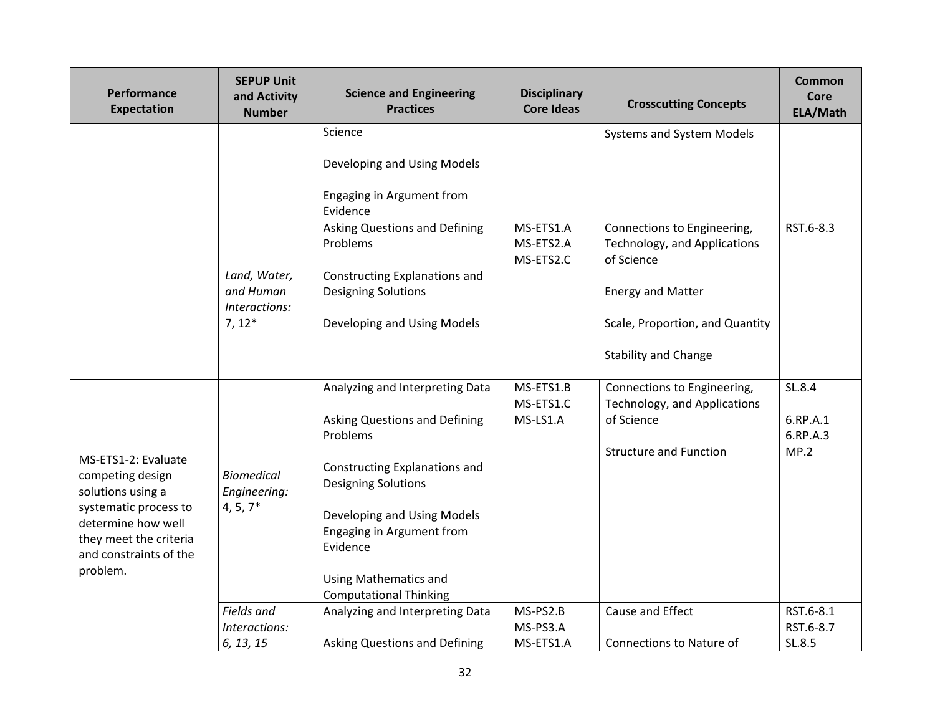| Performance<br><b>Expectation</b>                                                                                                                                           | <b>SEPUP Unit</b><br>and Activity<br><b>Number</b>     | <b>Science and Engineering</b><br><b>Practices</b>                                                                                                                                                                                                                                   | <b>Disciplinary</b><br><b>Core Ideas</b> | <b>Crosscutting Concepts</b>                                                                                                                                                                         | Common<br>Core<br>ELA/Math             |
|-----------------------------------------------------------------------------------------------------------------------------------------------------------------------------|--------------------------------------------------------|--------------------------------------------------------------------------------------------------------------------------------------------------------------------------------------------------------------------------------------------------------------------------------------|------------------------------------------|------------------------------------------------------------------------------------------------------------------------------------------------------------------------------------------------------|----------------------------------------|
|                                                                                                                                                                             | Land, Water,<br>and Human<br>Interactions:<br>$7, 12*$ | Science<br>Developing and Using Models<br>Engaging in Argument from<br>Evidence<br><b>Asking Questions and Defining</b><br>Problems<br>Constructing Explanations and<br><b>Designing Solutions</b><br>Developing and Using Models                                                    | MS-ETS1.A<br>MS-ETS2.A<br>MS-ETS2.C      | Systems and System Models<br>Connections to Engineering,<br>Technology, and Applications<br>of Science<br><b>Energy and Matter</b><br>Scale, Proportion, and Quantity<br><b>Stability and Change</b> | RST.6-8.3                              |
| MS-ETS1-2: Evaluate<br>competing design<br>solutions using a<br>systematic process to<br>determine how well<br>they meet the criteria<br>and constraints of the<br>problem. | <b>Biomedical</b><br>Engineering:<br>$4, 5, 7*$        | Analyzing and Interpreting Data<br>Asking Questions and Defining<br>Problems<br>Constructing Explanations and<br><b>Designing Solutions</b><br>Developing and Using Models<br>Engaging in Argument from<br>Evidence<br><b>Using Mathematics and</b><br><b>Computational Thinking</b> | MS-ETS1.B<br>MS-ETS1.C<br>MS-LS1.A       | Connections to Engineering,<br>Technology, and Applications<br>of Science<br><b>Structure and Function</b>                                                                                           | SL.8.4<br>6.RP.A.1<br>6.RP.A.3<br>MP.2 |
|                                                                                                                                                                             | Fields and<br>Interactions:<br>6, 13, 15               | Analyzing and Interpreting Data<br>Asking Questions and Defining                                                                                                                                                                                                                     | MS-PS2.B<br>MS-PS3.A<br>MS-ETS1.A        | Cause and Effect<br>Connections to Nature of                                                                                                                                                         | RST.6-8.1<br>RST.6-8.7<br>SL.8.5       |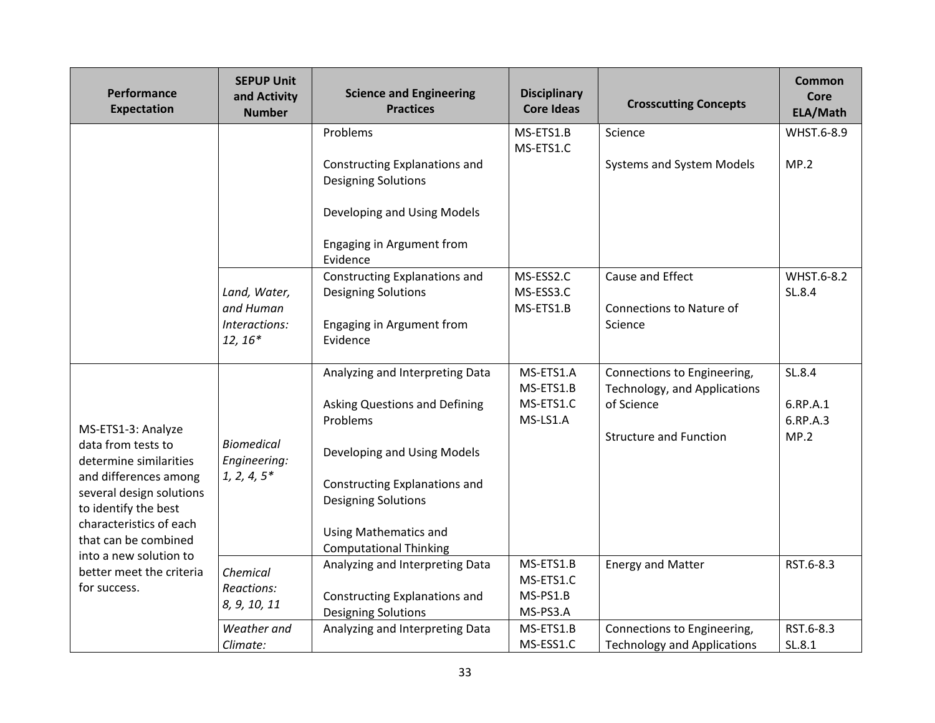| Performance<br><b>Expectation</b>                                                                                                                                                                                                                                        | <b>SEPUP Unit</b><br>and Activity<br><b>Number</b> | <b>Science and Engineering</b><br><b>Practices</b>            | <b>Disciplinary</b><br><b>Core Ideas</b> | <b>Crosscutting Concepts</b>                                | <b>Common</b><br><b>Core</b><br>ELA/Math |
|--------------------------------------------------------------------------------------------------------------------------------------------------------------------------------------------------------------------------------------------------------------------------|----------------------------------------------------|---------------------------------------------------------------|------------------------------------------|-------------------------------------------------------------|------------------------------------------|
|                                                                                                                                                                                                                                                                          |                                                    | Problems                                                      | MS-ETS1.B                                | Science                                                     | WHST.6-8.9                               |
|                                                                                                                                                                                                                                                                          |                                                    | Constructing Explanations and<br><b>Designing Solutions</b>   | MS-ETS1.C                                | Systems and System Models                                   | MP.2                                     |
|                                                                                                                                                                                                                                                                          |                                                    | Developing and Using Models                                   |                                          |                                                             |                                          |
|                                                                                                                                                                                                                                                                          |                                                    | Engaging in Argument from<br>Evidence                         |                                          |                                                             |                                          |
|                                                                                                                                                                                                                                                                          | Land, Water,<br>and Human                          | Constructing Explanations and<br><b>Designing Solutions</b>   | MS-ESS2.C<br>MS-ESS3.C<br>MS-ETS1.B      | Cause and Effect<br>Connections to Nature of                | WHST.6-8.2<br>SL.8.4                     |
|                                                                                                                                                                                                                                                                          | Interactions:<br>$12, 16*$                         | Engaging in Argument from<br>Evidence                         |                                          | Science                                                     |                                          |
|                                                                                                                                                                                                                                                                          |                                                    | Analyzing and Interpreting Data                               | MS-ETS1.A<br>MS-ETS1.B                   | Connections to Engineering,<br>Technology, and Applications | SL.8.4                                   |
| MS-ETS1-3: Analyze<br>data from tests to<br>determine similarities<br>and differences among<br>several design solutions<br>to identify the best<br>characteristics of each<br>that can be combined<br>into a new solution to<br>better meet the criteria<br>for success. | <b>Biomedical</b><br>Engineering:                  | Asking Questions and Defining<br>Problems                     | MS-ETS1.C<br>MS-LS1.A                    | of Science                                                  | 6.RP.A.1<br>6.RP.A.3                     |
|                                                                                                                                                                                                                                                                          |                                                    | Developing and Using Models                                   |                                          | <b>Structure and Function</b>                               | MP.2                                     |
|                                                                                                                                                                                                                                                                          | $1, 2, 4, 5*$                                      | Constructing Explanations and<br><b>Designing Solutions</b>   |                                          |                                                             |                                          |
|                                                                                                                                                                                                                                                                          |                                                    | <b>Using Mathematics and</b><br><b>Computational Thinking</b> |                                          |                                                             |                                          |
|                                                                                                                                                                                                                                                                          | Chemical                                           | Analyzing and Interpreting Data                               | MS-ETS1.B                                | <b>Energy and Matter</b>                                    | RST.6-8.3                                |
|                                                                                                                                                                                                                                                                          | Reactions:<br>8, 9, 10, 11                         | Constructing Explanations and<br><b>Designing Solutions</b>   | MS-ETS1.C<br>MS-PS1.B<br>MS-PS3.A        |                                                             |                                          |
|                                                                                                                                                                                                                                                                          | Weather and                                        | Analyzing and Interpreting Data                               | MS-ETS1.B                                | Connections to Engineering,                                 | RST.6-8.3                                |
|                                                                                                                                                                                                                                                                          | Climate:                                           |                                                               | MS-ESS1.C                                | <b>Technology and Applications</b>                          | SL.8.1                                   |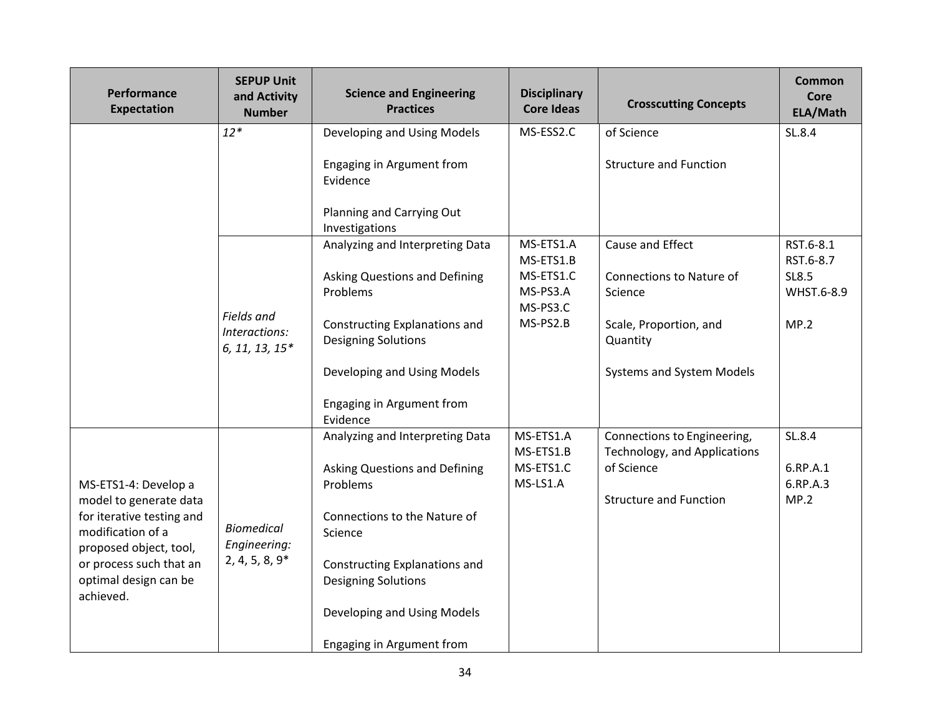| Performance<br><b>Expectation</b>                                                                                                                                                           | <b>SEPUP Unit</b><br>and Activity<br><b>Number</b>    | <b>Science and Engineering</b><br><b>Practices</b>                                                                                                                                                                                                        | <b>Disciplinary</b><br><b>Core Ideas</b>                                | <b>Crosscutting Concepts</b>                                                                                               | <b>Common</b><br>Core<br>ELA/Math                     |
|---------------------------------------------------------------------------------------------------------------------------------------------------------------------------------------------|-------------------------------------------------------|-----------------------------------------------------------------------------------------------------------------------------------------------------------------------------------------------------------------------------------------------------------|-------------------------------------------------------------------------|----------------------------------------------------------------------------------------------------------------------------|-------------------------------------------------------|
|                                                                                                                                                                                             | $12*$                                                 | Developing and Using Models<br>Engaging in Argument from<br>Evidence<br>Planning and Carrying Out<br>Investigations                                                                                                                                       | MS-ESS2.C                                                               | of Science<br><b>Structure and Function</b>                                                                                | SL.8.4                                                |
|                                                                                                                                                                                             | <b>Fields</b> and<br>Interactions:<br>6, 11, 13, 15*  | Analyzing and Interpreting Data<br><b>Asking Questions and Defining</b><br>Problems<br>Constructing Explanations and<br><b>Designing Solutions</b><br>Developing and Using Models<br>Engaging in Argument from<br>Evidence                                | MS-ETS1.A<br>MS-ETS1.B<br>MS-ETS1.C<br>MS-PS3.A<br>MS-PS3.C<br>MS-PS2.B | Cause and Effect<br>Connections to Nature of<br>Science<br>Scale, Proportion, and<br>Quantity<br>Systems and System Models | RST.6-8.1<br>RST.6-8.7<br>SL8.5<br>WHST.6-8.9<br>MP.2 |
| MS-ETS1-4: Develop a<br>model to generate data<br>for iterative testing and<br>modification of a<br>proposed object, tool,<br>or process such that an<br>optimal design can be<br>achieved. | <b>Biomedical</b><br>Engineering:<br>$2, 4, 5, 8, 9*$ | Analyzing and Interpreting Data<br><b>Asking Questions and Defining</b><br>Problems<br>Connections to the Nature of<br>Science<br>Constructing Explanations and<br><b>Designing Solutions</b><br>Developing and Using Models<br>Engaging in Argument from | MS-ETS1.A<br>MS-ETS1.B<br>MS-ETS1.C<br>MS-LS1.A                         | Connections to Engineering,<br>Technology, and Applications<br>of Science<br><b>Structure and Function</b>                 | SL.8.4<br>6.RP.A.1<br>6.RP.A.3<br>MP.2                |